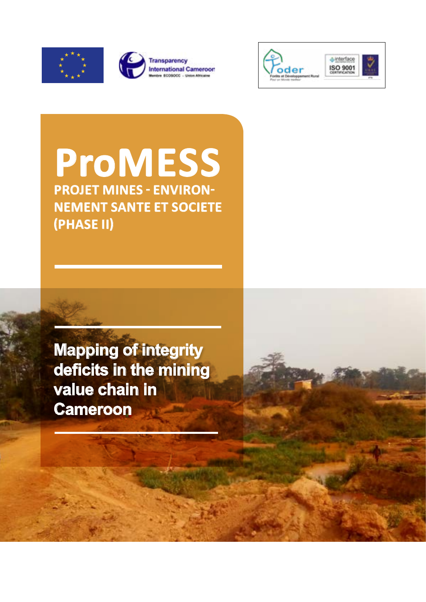





**PROJET MINES - ENVIRON-NEMENT SANTE ET SOCIETE (PHASE II) ProMESS**

**Mapping of integrity deficits in the mining value chain in Cameroon**

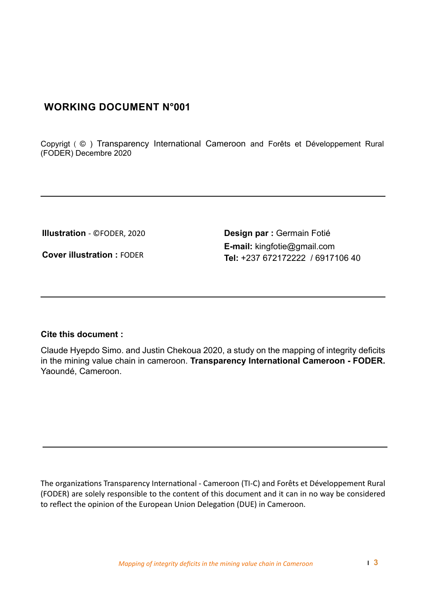#### **WORKING DOCUMENT N°001**

Copyrigt ( © ) Transparency International Cameroon and Forêts et Développement Rural (FODER) Decembre 2020

**Cover illustration :** FODER

**Illustration** - ©FODER, 2020 **Design par :** Germain Fotié **E-mail:** kingfotie@gmail.com **Tel:** +237 672172222 / 6917106 40

#### **Cite this document :**

Claude Hyepdo Simo. and Justin Chekoua 2020, a study on the mapping of integrity deficits in the mining value chain in cameroon. **Transparency International Cameroon - FODER.** Yaoundé, Cameroon.

The organizations Transparency International - Cameroon (TI-C) and Forêts et Développement Rural (FODER) are solely responsible to the content of this document and it can in no way be considered to reflect the opinion of the European Union Delegation (DUE) in Cameroon.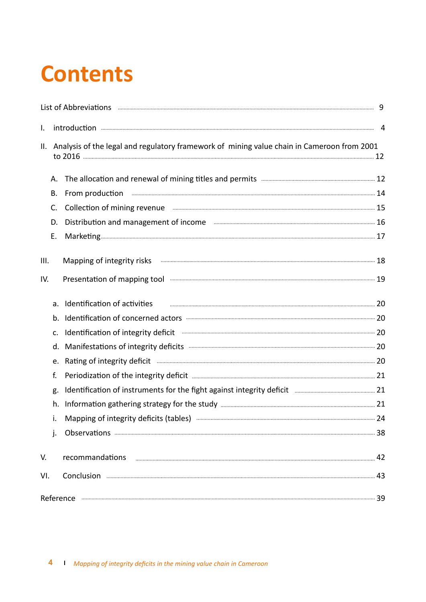# **Contents**

| I.   |                |                                                                                                                      |  |
|------|----------------|----------------------------------------------------------------------------------------------------------------------|--|
|      |                | II. Analysis of the legal and regulatory framework of mining value chain in Cameroon from 2001                       |  |
|      |                |                                                                                                                      |  |
|      | В.             |                                                                                                                      |  |
|      | C.             | Collection of mining revenue <b>Election</b> of mining revenue <b>Election</b> 15                                    |  |
|      | D.             | Distribution and management of income Electronian Communication and management of income Electronian Communication   |  |
|      | Ε.             |                                                                                                                      |  |
| III. |                | Mapping of integrity risks <b>www.communications.communications.</b> 18                                              |  |
| IV.  |                |                                                                                                                      |  |
|      |                | a. Identification of activities                                                                                      |  |
|      |                |                                                                                                                      |  |
|      | $\mathsf{C}$ . | Identification of integrity deficit <b>Election</b> 20 and the state of the control of the control of the control of |  |
|      |                |                                                                                                                      |  |
|      | e.             | Rating of integrity deficit <b>Election Constructs</b> 20                                                            |  |
|      | f.             |                                                                                                                      |  |
|      | g.             |                                                                                                                      |  |
|      | h.             |                                                                                                                      |  |
|      | i.             | Mapping of integrity deficits (tables) <b>manufacture manufacture and the contract of the 24</b>                     |  |
|      | j.             |                                                                                                                      |  |
| V.   |                |                                                                                                                      |  |
| VI.  |                |                                                                                                                      |  |
|      |                | Reference <b>www.warenoversites.com</b> 39                                                                           |  |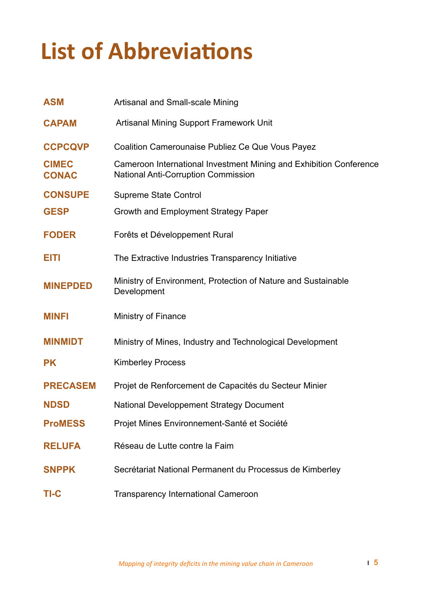# **List of Abbreviations**

| <b>ASM</b>                   | Artisanal and Small-scale Mining                                                                                 |
|------------------------------|------------------------------------------------------------------------------------------------------------------|
| <b>CAPAM</b>                 | <b>Artisanal Mining Support Framework Unit</b>                                                                   |
| <b>CCPCQVP</b>               | <b>Coalition Camerounaise Publiez Ce Que Vous Payez</b>                                                          |
| <b>CIMEC</b><br><b>CONAC</b> | Cameroon International Investment Mining and Exhibition Conference<br><b>National Anti-Corruption Commission</b> |
| <b>CONSUPE</b>               | <b>Supreme State Control</b>                                                                                     |
| <b>GESP</b>                  | Growth and Employment Strategy Paper                                                                             |
| <b>FODER</b>                 | Forêts et Développement Rural                                                                                    |
| EITI                         | The Extractive Industries Transparency Initiative                                                                |
| <b>MINEPDED</b>              | Ministry of Environment, Protection of Nature and Sustainable<br>Development                                     |
|                              |                                                                                                                  |
| <b>MINFI</b>                 | <b>Ministry of Finance</b>                                                                                       |
| <b>MINMIDT</b>               | Ministry of Mines, Industry and Technological Development                                                        |
| <b>PK</b>                    | <b>Kimberley Process</b>                                                                                         |
| <b>PRECASEM</b>              | Projet de Renforcement de Capacités du Secteur Minier                                                            |
| <b>NDSD</b>                  | <b>National Developpement Strategy Document</b>                                                                  |
| <b>ProMESS</b>               | Projet Mines Environnement-Santé et Société                                                                      |
| <b>RELUFA</b>                | Réseau de Lutte contre la Faim                                                                                   |
| <b>SNPPK</b>                 | Secrétariat National Permanent du Processus de Kimberley                                                         |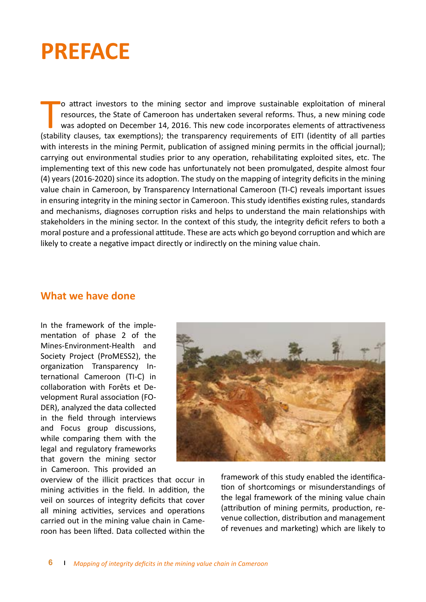# **PREFACE**

O attract investors to the mining sector and improve sustainable exploitation of mineral resources, the State of Cameroon has undertaken several reforms. Thus, a new mining code was adopted on December 14, 2016. This new c o attract investors to the mining sector and improve sustainable exploitation of mineral resources, the State of Cameroon has undertaken several reforms. Thus, a new mining code was adopted on December 14, 2016. This new code incorporates elements of attractiveness with interests in the mining Permit, publication of assigned mining permits in the official journal); carrying out environmental studies prior to any operation, rehabilitating exploited sites, etc. The implementing text of this new code has unfortunately not been promulgated, despite almost four (4) years (2016-2020) since its adoption. The study on the mapping of integrity deficits in the mining value chain in Cameroon, by Transparency International Cameroon (TI-C) reveals important issues in ensuring integrity in the mining sector in Cameroon. This study identifies existing rules, standards and mechanisms, diagnoses corruption risks and helps to understand the main relationships with stakeholders in the mining sector. In the context of this study, the integrity deficit refers to both a moral posture and a professional attitude. These are acts which go beyond corruption and which are likely to create a negative impact directly or indirectly on the mining value chain.

#### **What we have done**

In the framework of the implementation of phase 2 of the Mines-Environment-Health and Society Project (ProMESS2), the organization Transparency International Cameroon (TI-C) in collaboration with Forêts et Development Rural association (FO-DER), analyzed the data collected in the field through interviews and Focus group discussions, while comparing them with the legal and regulatory frameworks that govern the mining sector in Cameroon. This provided an

overview of the illicit practices that occur in mining activities in the field. In addition, the veil on sources of integrity deficits that cover all mining activities, services and operations carried out in the mining value chain in Cameroon has been lifted. Data collected within the



framework of this study enabled the identification of shortcomings or misunderstandings of the legal framework of the mining value chain (attribution of mining permits, production, revenue collection, distribution and management of revenues and marketing) which are likely to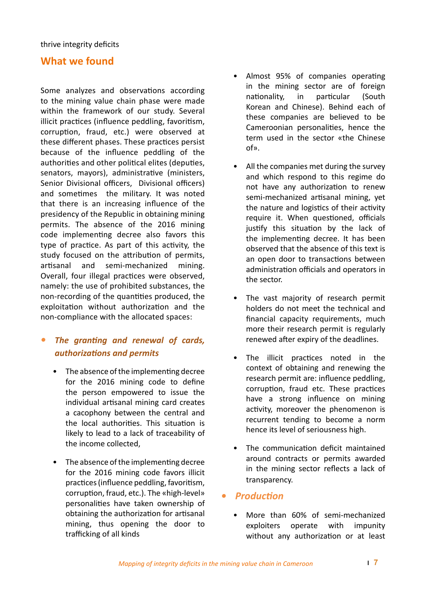#### **What we found**

Some analyzes and observations according to the mining value chain phase were made within the framework of our study. Several illicit practices (influence peddling, favoritism, corruption, fraud, etc.) were observed at these different phases. These practices persist because of the influence peddling of the authorities and other political elites (deputies, senators, mayors), administrative (ministers, Senior Divisional officers, Divisional officers) and sometimes the military. It was noted that there is an increasing influence of the presidency of the Republic in obtaining mining permits. The absence of the 2016 mining code implementing decree also favors this type of practice. As part of this activity, the study focused on the attribution of permits, artisanal and semi-mechanized mining. Overall, four illegal practices were observed, namely: the use of prohibited substances, the non-recording of the quantities produced, the exploitation without authorization and the non-compliance with the allocated spaces:

#### *• The granting and renewal of cards, authorizations and permits*

- The absence of the implementing decree for the 2016 mining code to define the person empowered to issue the individual artisanal mining card creates a cacophony between the central and the local authorities. This situation is likely to lead to a lack of traceability of the income collected,
- The absence of the implementing decree for the 2016 mining code favors illicit practices (influence peddling, favoritism, corruption, fraud, etc.). The «high-level» personalities have taken ownership of obtaining the authorization for artisanal mining, thus opening the door to trafficking of all kinds
- Almost 95% of companies operating in the mining sector are of foreign nationality, in particular (South Korean and Chinese). Behind each of these companies are believed to be Cameroonian personalities, hence the term used in the sector «the Chinese of».
- All the companies met during the survey and which respond to this regime do not have any authorization to renew semi-mechanized artisanal mining, yet the nature and logistics of their activity require it. When questioned, officials justify this situation by the lack of the implementing decree. It has been observed that the absence of this text is an open door to transactions between administration officials and operators in the sector.
- The vast majority of research permit holders do not meet the technical and financial capacity requirements, much more their research permit is regularly renewed after expiry of the deadlines.
- The illicit practices noted in the context of obtaining and renewing the research permit are: influence peddling, corruption, fraud etc. These practices have a strong influence on mining activity, moreover the phenomenon is recurrent tending to become a norm hence its level of seriousness high.
- The communication deficit maintained around contracts or permits awarded in the mining sector reflects a lack of transparency.

#### *• Production*

• More than 60% of semi-mechanized exploiters operate with impunity without any authorization or at least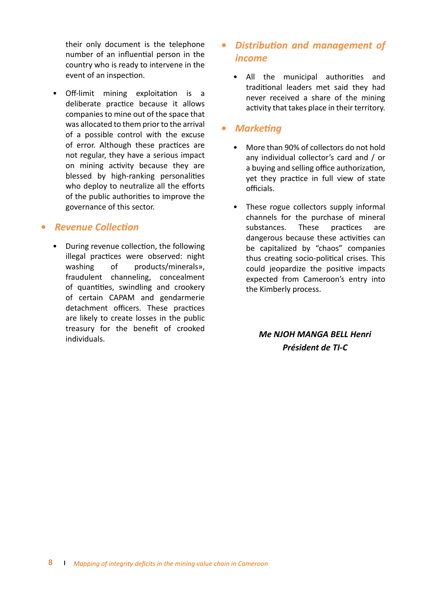their only document is the telephone number of an influential person in the country who is ready to intervene in the event of an inspection.

• Off-limit mining exploitation is a deliberate practice because it allows companies to mine out of the space that was allocated to them prior to the arrival of a possible control with the excuse of error. Although these practices are not regular, they have a serious impact on mining activity because they are blessed by high-ranking personalities who deploy to neutralize all the efforts of the public authorities to improve the governance of this sector.

#### *• Revenue Collection*

• During revenue collection, the following illegal practices were observed: night washing of products/minerals», fraudulent channeling, concealment of quantities, swindling and crookery of certain CAPAM and gendarmerie detachment officers. These practices are likely to create losses in the public treasury for the benefit of crooked individuals.

#### *• Distribution and management of income*

• All the municipal authorities and traditional leaders met said they had never received a share of the mining activity that takes place in their territory.

#### *• Marketing*

- More than 90% of collectors do not hold any individual collector's card and / or a buying and selling office authorization, yet they practice in full view of state officials.
- These rogue collectors supply informal channels for the purchase of mineral substances. These practices are dangerous because these activities can be capitalized by "chaos" companies thus creating socio-political crises. This could jeopardize the positive impacts expected from Cameroon's entry into the Kimberly process.

*Me NJOH MANGA BELL Henri Président de TI-C*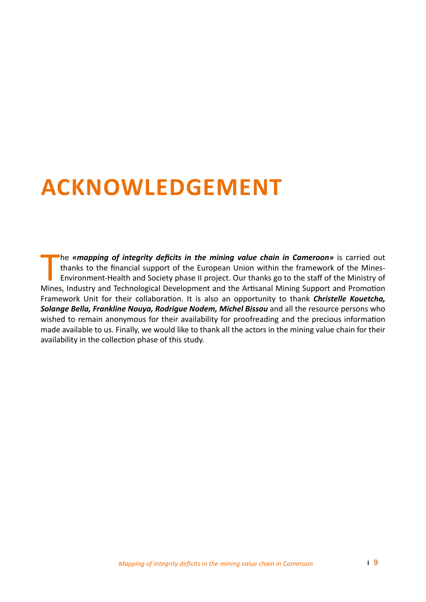# **ACKNOWLEDGEMENT**

The **«mapping of integrity deficits in the mining value chain in Cameroon»** is carried out thanks to the financial support of the European Union within the framework of the Mines-<br>Environment-Health and Society phase II pr he *«mapping of integrity deficits in the mining value chain in Cameroon»* is carried out thanks to the financial support of the European Union within the framework of the Mines-Environment-Health and Society phase II project. Our thanks go to the staff of the Ministry of Framework Unit for their collaboration. It is also an opportunity to thank *Christelle Kouetcha, Solange Bella, Frankline Nouya, Rodrigue Nodem, Michel Bissou* and all the resource persons who wished to remain anonymous for their availability for proofreading and the precious information made available to us. Finally, we would like to thank all the actors in the mining value chain for their availability in the collection phase of this study.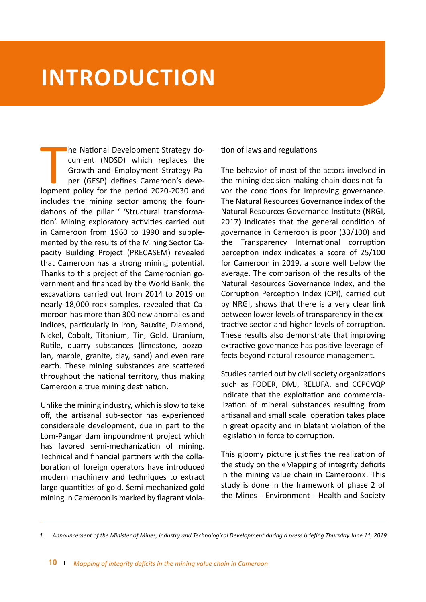## **INTRODUCTION**

The National Development Strategy do-<br>
cument (NDSD) which replaces the<br>
Growth and Employment Strategy Pa-<br>
per (GESP) defines Cameroon's deve-<br>
lopment policy for the period 2020-2030 and he National Development Strategy document (NDSD) which replaces the Growth and Employment Strategy Paper (GESP) defines Cameroon's deveincludes the mining sector among the foundations of the pillar ' 'Structural transformation'. Mining exploratory activities carried out in Cameroon from 1960 to 1990 and supplemented by the results of the Mining Sector Capacity Building Project (PRECASEM) revealed that Cameroon has a strong mining potential. Thanks to this project of the Cameroonian government and financed by the World Bank, the excavations carried out from 2014 to 2019 on nearly 18,000 rock samples, revealed that Cameroon has more than 300 new anomalies and indices, particularly in iron, Bauxite, Diamond, Nickel, Cobalt, Titanium, Tin, Gold, Uranium, Rutile, quarry substances (limestone, pozzolan, marble, granite, clay, sand) and even rare earth. These mining substances are scattered throughout the national territory, thus making Cameroon a true mining destination.

Unlike the mining industry, which is slow to take off, the artisanal sub-sector has experienced considerable development, due in part to the Lom-Pangar dam impoundment project which has favored semi-mechanization of mining. Technical and financial partners with the collaboration of foreign operators have introduced modern machinery and techniques to extract large quantities of gold. Semi-mechanized gold mining in Cameroon is marked by flagrant violation of laws and regulations

The behavior of most of the actors involved in the mining decision-making chain does not favor the conditions for improving governance. The Natural Resources Governance index of the Natural Resources Governance Institute (NRGI, 2017) indicates that the general condition of governance in Cameroon is poor (33/100) and the Transparency International corruption perception index indicates a score of 25/100 for Cameroon in 2019, a score well below the average. The comparison of the results of the Natural Resources Governance Index, and the Corruption Perception Index (CPI), carried out by NRGI, shows that there is a very clear link between lower levels of transparency in the extractive sector and higher levels of corruption. These results also demonstrate that improving extractive governance has positive leverage effects beyond natural resource management.

Studies carried out by civil society organizations such as FODER, DMJ, RELUFA, and CCPCVQP indicate that the exploitation and commercialization of mineral substances resulting from artisanal and small scale operation takes place in great opacity and in blatant violation of the legislation in force to corruption.

This gloomy picture justifies the realization of the study on the «Mapping of integrity deficits in the mining value chain in Cameroon». This study is done in the framework of phase 2 of the Mines - Environment - Health and Society

*<sup>1.</sup> Announcement of the Minister of Mines, Industry and Technological Development during a press briefing Thursday June 11, 2019*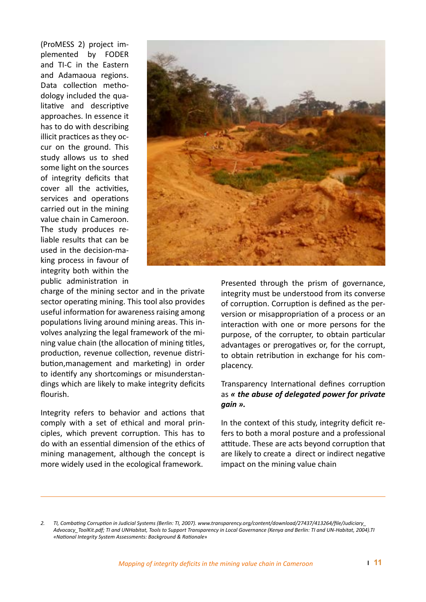(ProMESS 2) project implemented by FODER and TI-C in the Eastern and Adamaoua regions. Data collection methodology included the qualitative and descriptive approaches. In essence it has to do with describing illicit practices as they occur on the ground. This study allows us to shed some light on the sources of integrity deficits that cover all the activities, services and operations carried out in the mining value chain in Cameroon. The study produces reliable results that can be used in the decision-making process in favour of integrity both within the public administration in



charge of the mining sector and in the private sector operating mining. This tool also provides useful information for awareness raising among populations living around mining areas. This involves analyzing the legal framework of the mining value chain (the allocation of mining titles, production, revenue collection, revenue distribution,management and marketing) in order to identify any shortcomings or misunderstandings which are likely to make integrity deficits flourish.

Integrity refers to behavior and actions that comply with a set of ethical and moral principles, which prevent corruption. This has to do with an essential dimension of the ethics of mining management, although the concept is more widely used in the ecological framework.

Presented through the prism of governance, integrity must be understood from its converse of corruption. Corruption is defined as the perversion or misappropriation of a process or an interaction with one or more persons for the purpose, of the corrupter, to obtain particular advantages or prerogatives or, for the corrupt, to obtain retribution in exchange for his complacency.

#### Transparency International defines corruption as *« the abuse of delegated power for private gain ».*

In the context of this study, integrity deficit refers to both a moral posture and a professional attitude. These are acts beyond corruption that are likely to create a direct or indirect negative impact on the mining value chain

*<sup>2.</sup> TI, Combating Corruption in Judicial Systems (Berlin: TI, 2007). www.transparency.org/content/download/27437/413264/file/Judiciary\_ Advocacy\_ToolKit.pdf; TI and UNHabitat, Tools to Support Transparency in Local Governance (Kenya and Berlin: TI and UN-Habitat, 2004).TI «National Integrity System Assessments: Background & Rationale*»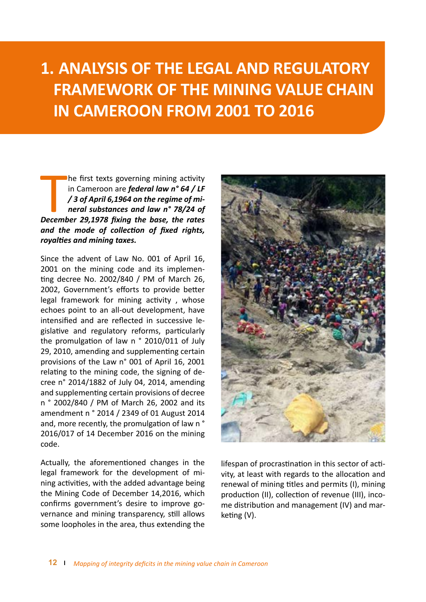## **1. ANALYSIS OF THE LEGAL AND REGULATORY FRAMEWORK OF THE MINING VALUE CHAIN IN CAMEROON FROM 2001 TO 2016**

**Example first texts governing mining activity**<br>in Cameroon are *federal law n° 64 / LF***<br>/3 of April 6,1964 on the regime of minimeral substances and law n° 78/24 of<br>December 29,1978 fixing the base, the rates** he first texts governing mining activity in Cameroon are *federal law n° 64 / LF / 3 of April 6,1964 on the regime of mineral substances and law n° 78/24 of and the mode of collection of fixed rights, royalties and mining taxes.*

Since the advent of Law No. 001 of April 16, 2001 on the mining code and its implementing decree No. 2002/840 / PM of March 26, 2002, Government's efforts to provide better legal framework for mining activity , whose echoes point to an all-out development, have intensified and are reflected in successive legislative and regulatory reforms, particularly the promulgation of law n ° 2010/011 of July 29, 2010, amending and supplementing certain provisions of the Law n° 001 of April 16, 2001 relating to the mining code, the signing of decree n° 2014/1882 of July 04, 2014, amending and supplementing certain provisions of decree n ° 2002/840 / PM of March 26, 2002 and its amendment n ° 2014 / 2349 of 01 August 2014 and, more recently, the promulgation of law n ° 2016/017 of 14 December 2016 on the mining code.

Actually, the aforementioned changes in the legal framework for the development of mining activities, with the added advantage being the Mining Code of December 14,2016, which confirms government's desire to improve governance and mining transparency, still allows some loopholes in the area, thus extending the



lifespan of procrastination in this sector of activity, at least with regards to the allocation and renewal of mining titles and permits (I), mining production (II), collection of revenue (III), income distribution and management (IV) and marketing (V).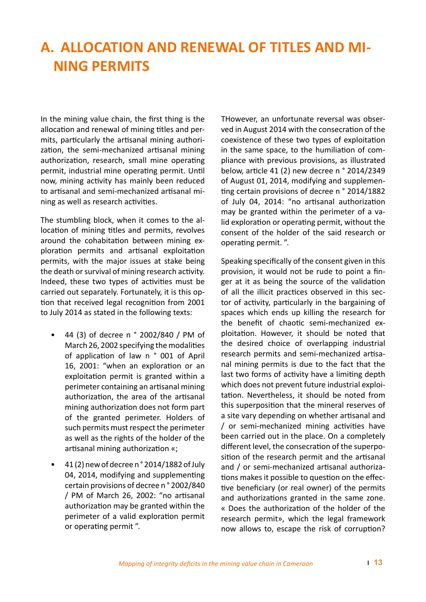### **A. ALLOCATION AND RENEWAL OF TITLES AND MI-NING PERMITS**

In the mining value chain, the first thing is the allocation and renewal of mining titles and permits, particularly the artisanal mining authorization, the semi-mechanized artisanal mining authorization, research, small mine operating permit, industrial mine operating permit. Until now, mining activity has mainly been reduced to artisanal and semi-mechanized artisanal mining as well as research activities.

The stumbling block, when it comes to the allocation of mining titles and permits, revolves around the cohabitation between mining exploration permits and artisanal exploitation permits, with the major issues at stake being the death or survival of mining research activity. Indeed, these two types of activities must be carried out separately. Fortunately, it is this option that received legal recognition from 2001 to July 2014 as stated in the following texts:

- 44 (3) of decree n ° 2002/840 / PM of March 26, 2002 specifying the modalities of application of law n ° 001 of April 16, 2001: "when an exploration or an exploitation permit is granted within a perimeter containing an artisanal mining authorization, the area of the artisanal mining authorization does not form part of the granted perimeter. Holders of such permits must respect the perimeter as well as the rights of the holder of the artisanal mining authorization «;
- 41 (2) new of decree n ° 2014/1882 of July 04, 2014, modifying and supplementing certain provisions of decree n ° 2002/840 / PM of March 26, 2002: "no artisanal authorization may be granted within the perimeter of a valid exploration permit or operating permit ".

THowever, an unfortunate reversal was observed in August 2014 with the consecration of the coexistence of these two types of exploitation in the same space, to the humiliation of compliance with previous provisions, as illustrated below, article 41 (2) new decree n ° 2014/2349 of August 01, 2014, modifying and supplementing certain provisions of decree n ° 2014/1882 of July 04, 2014: "no artisanal authorization may be granted within the perimeter of a valid exploration or operating permit, without the consent of the holder of the said research or operating permit. ".

Speaking specifically of the consent given in this provision, it would not be rude to point a finger at it as being the source of the validation of all the illicit practices observed in this sector of activity, particularly in the bargaining of spaces which ends up killing the research for the benefit of chaotic semi-mechanized exploitation. However, it should be noted that the desired choice of overlapping industrial research permits and semi-mechanized artisanal mining permits is due to the fact that the last two forms of activity have a limiting depth which does not prevent future industrial exploitation. Nevertheless, it should be noted from this superposition that the mineral reserves of a site vary depending on whether artisanal and / or semi-mechanized mining activities have been carried out in the place. On a completely different level, the consecration of the superposition of the research permit and the artisanal and / or semi-mechanized artisanal authorizations makes it possible to question on the effective beneficiary (or real owner) of the permits and authorizations granted in the same zone. « Does the authorization of the holder of the research permit», which the legal framework now allows to, escape the risk of corruption?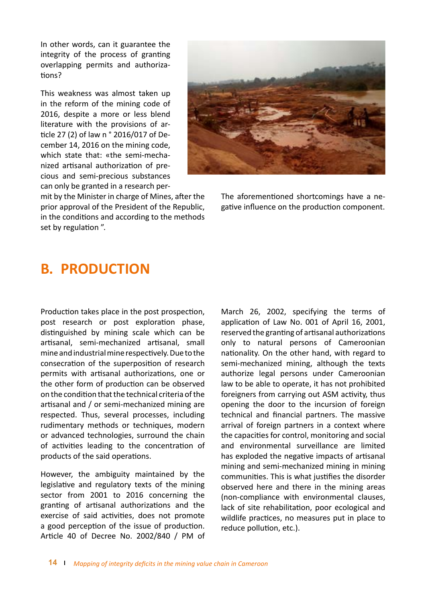In other words, can it guarantee the integrity of the process of granting overlapping permits and authorizations?

This weakness was almost taken up in the reform of the mining code of 2016, despite a more or less blend literature with the provisions of article 27 (2) of law n ° 2016/017 of December 14, 2016 on the mining code, which state that: «the semi-mechanized artisanal authorization of precious and semi-precious substances can only be granted in a research per-



mit by the Minister in charge of Mines, after the prior approval of the President of the Republic, in the conditions and according to the methods set by regulation ".

The aforementioned shortcomings have a negative influence on the production component.

### **B. PRODUCTION**

Production takes place in the post prospection, post research or post exploration phase, distinguished by mining scale which can be artisanal, semi-mechanized artisanal, small mine and industrial mine respectively. Due to the consecration of the superposition of research permits with artisanal authorizations, one or the other form of production can be observed on the condition that the technical criteria of the artisanal and / or semi-mechanized mining are respected. Thus, several processes, including rudimentary methods or techniques, modern or advanced technologies, surround the chain of activities leading to the concentration of products of the said operations.

However, the ambiguity maintained by the legislative and regulatory texts of the mining sector from 2001 to 2016 concerning the granting of artisanal authorizations and the exercise of said activities, does not promote a good perception of the issue of production. Article 40 of Decree No. 2002/840 / PM of

March 26, 2002, specifying the terms of application of Law No. 001 of April 16, 2001, reserved the granting of artisanal authorizations only to natural persons of Cameroonian nationality. On the other hand, with regard to semi-mechanized mining, although the texts authorize legal persons under Cameroonian law to be able to operate, it has not prohibited foreigners from carrying out ASM activity, thus opening the door to the incursion of foreign technical and financial partners. The massive arrival of foreign partners in a context where the capacities for control, monitoring and social and environmental surveillance are limited has exploded the negative impacts of artisanal mining and semi-mechanized mining in mining communities. This is what justifies the disorder observed here and there in the mining areas (non-compliance with environmental clauses, lack of site rehabilitation, poor ecological and wildlife practices, no measures put in place to reduce pollution, etc.).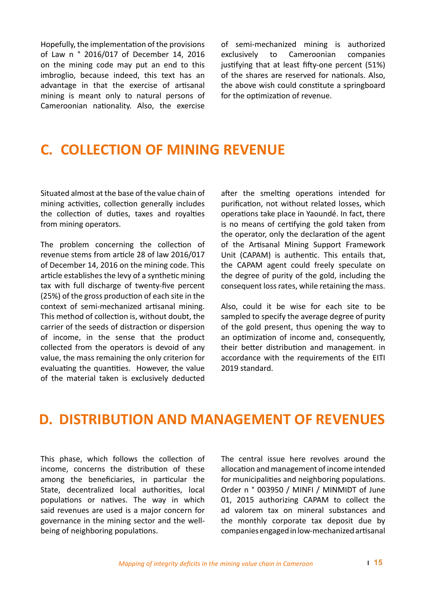Hopefully, the implementation of the provisions of Law n ° 2016/017 of December 14, 2016 on the mining code may put an end to this imbroglio, because indeed, this text has an advantage in that the exercise of artisanal mining is meant only to natural persons of Cameroonian nationality. Also, the exercise of semi-mechanized mining is authorized exclusively to Cameroonian companies justifying that at least fifty-one percent (51%) of the shares are reserved for nationals. Also, the above wish could constitute a springboard for the optimization of revenue.

### **C. COLLECTION OF MINING REVENUE**

Situated almost at the base of the value chain of mining activities, collection generally includes the collection of duties, taxes and royalties from mining operators.

The problem concerning the collection of revenue stems from article 28 of law 2016/017 of December 14, 2016 on the mining code. This article establishes the levy of a synthetic mining tax with full discharge of twenty-five percent (25%) of the gross production of each site in the context of semi-mechanized artisanal mining. This method of collection is, without doubt, the carrier of the seeds of distraction or dispersion of income, in the sense that the product collected from the operators is devoid of any value, the mass remaining the only criterion for evaluating the quantities. However, the value of the material taken is exclusively deducted after the smelting operations intended for purification, not without related losses, which operations take place in Yaoundé. In fact, there is no means of certifying the gold taken from the operator, only the declaration of the agent of the Artisanal Mining Support Framework Unit (CAPAM) is authentic. This entails that, the CAPAM agent could freely speculate on the degree of purity of the gold, including the consequent loss rates, while retaining the mass.

Also, could it be wise for each site to be sampled to specify the average degree of purity of the gold present, thus opening the way to an optimization of income and, consequently, their better distribution and management. in accordance with the requirements of the EITI 2019 standard.

### **D. DISTRIBUTION AND MANAGEMENT OF REVENUES**

This phase, which follows the collection of income, concerns the distribution of these among the beneficiaries, in particular the State, decentralized local authorities, local populations or natives. The way in which said revenues are used is a major concern for governance in the mining sector and the wellbeing of neighboring populations.

The central issue here revolves around the allocation and management of income intended for municipalities and neighboring populations. Order n ° 003950 / MINFI / MINMIDT of June 01, 2015 authorizing CAPAM to collect the ad valorem tax on mineral substances and the monthly corporate tax deposit due by companies engaged in low-mechanized artisanal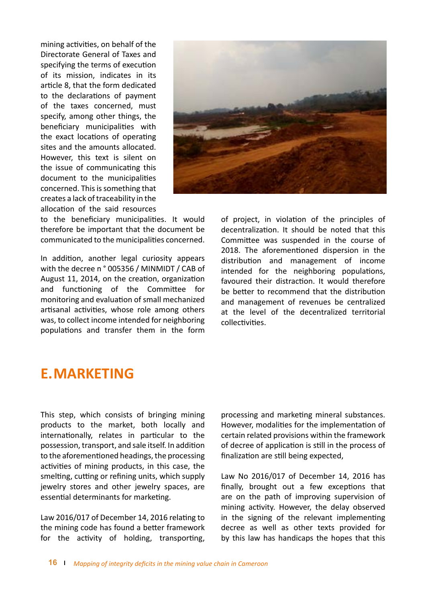mining activities, on behalf of the Directorate General of Taxes and specifying the terms of execution of its mission, indicates in its article 8, that the form dedicated to the declarations of payment of the taxes concerned, must specify, among other things, the beneficiary municipalities with the exact locations of operating sites and the amounts allocated. However, this text is silent on the issue of communicating this document to the municipalities concerned. This is something that creates a lack of traceability in the allocation of the said resources



to the beneficiary municipalities. It would therefore be important that the document be communicated to the municipalities concerned.

In addition, another legal curiosity appears with the decree n ° 005356 / MINMIDT / CAB of August 11, 2014, on the creation, organization and functioning of the Committee for monitoring and evaluation of small mechanized artisanal activities, whose role among others was, to collect income intended for neighboring populations and transfer them in the form

of project, in violation of the principles of decentralization. It should be noted that this Committee was suspended in the course of 2018. The aforementioned dispersion in the distribution and management of income intended for the neighboring populations, favoured their distraction. It would therefore be better to recommend that the distribution and management of revenues be centralized at the level of the decentralized territorial collectivities.

### **E.MARKETING**

This step, which consists of bringing mining products to the market, both locally and internationally, relates in particular to the possession, transport, and sale itself. In addition to the aforementioned headings, the processing activities of mining products, in this case, the smelting, cutting or refining units, which supply jewelry stores and other jewelry spaces, are essential determinants for marketing.

Law 2016/017 of December 14, 2016 relating to the mining code has found a better framework for the activity of holding, transporting,

processing and marketing mineral substances. However, modalities for the implementation of certain related provisions within the framework of decree of application is still in the process of finalization are still being expected,

Law No 2016/017 of December 14, 2016 has finally, brought out a few exceptions that are on the path of improving supervision of mining activity. However, the delay observed in the signing of the relevant implementing decree as well as other texts provided for by this law has handicaps the hopes that this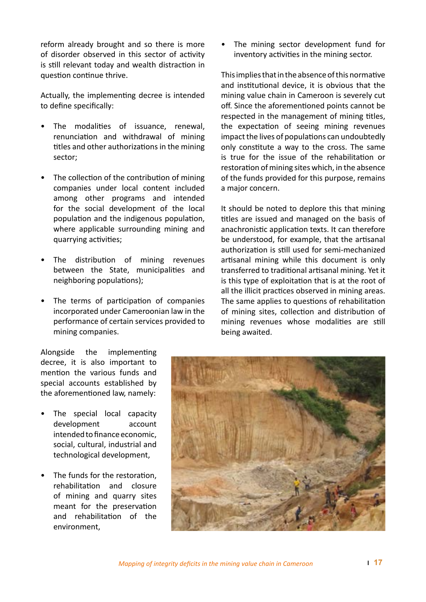reform already brought and so there is more of disorder observed in this sector of activity is still relevant today and wealth distraction in question continue thrive.

Actually, the implementing decree is intended to define specifically:

- The modalities of issuance, renewal, renunciation and withdrawal of mining titles and other authorizations in the mining sector;
- The collection of the contribution of mining companies under local content included among other programs and intended for the social development of the local population and the indigenous population, where applicable surrounding mining and quarrying activities;
- The distribution of mining revenues between the State, municipalities and neighboring populations);
- The terms of participation of companies incorporated under Cameroonian law in the performance of certain services provided to mining companies.

• The mining sector development fund for inventory activities in the mining sector.

This implies that in the absence of this normative and institutional device, it is obvious that the mining value chain in Cameroon is severely cut off. Since the aforementioned points cannot be respected in the management of mining titles, the expectation of seeing mining revenues impact the lives of populations can undoubtedly only constitute a way to the cross. The same is true for the issue of the rehabilitation or restoration of mining sites which, in the absence of the funds provided for this purpose, remains a major concern.

It should be noted to deplore this that mining titles are issued and managed on the basis of anachronistic application texts. It can therefore be understood, for example, that the artisanal authorization is still used for semi-mechanized artisanal mining while this document is only transferred to traditional artisanal mining. Yet it is this type of exploitation that is at the root of all the illicit practices observed in mining areas. The same applies to questions of rehabilitation of mining sites, collection and distribution of mining revenues whose modalities are still being awaited.

Alongside the implementing decree, it is also important to mention the various funds and special accounts established by the aforementioned law, namely:

- The special local capacity development account intended to finance economic, social, cultural, industrial and technological development,
- The funds for the restoration. rehabilitation and closure of mining and quarry sites meant for the preservation and rehabilitation of the environment,

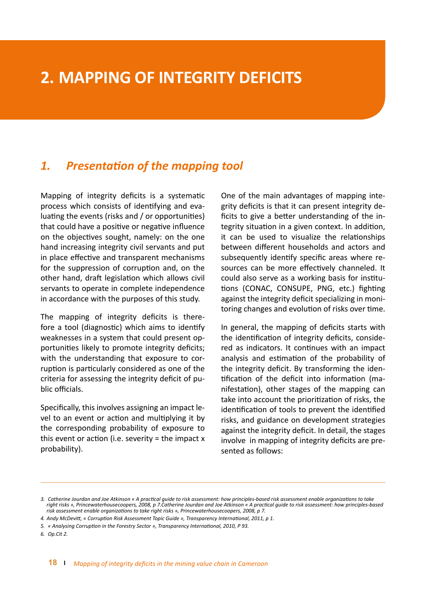### **2. MAPPING OF INTEGRITY DEFICITS**

#### *1. Presentation of the mapping tool*

Mapping of integrity deficits is a systematic process which consists of identifying and evaluating the events (risks and / or opportunities) that could have a positive or negative influence on the objectives sought, namely: on the one hand increasing integrity civil servants and put in place effective and transparent mechanisms for the suppression of corruption and, on the other hand, draft legislation which allows civil servants to operate in complete independence in accordance with the purposes of this study.

The mapping of integrity deficits is therefore a tool (diagnostic) which aims to identify weaknesses in a system that could present opportunities likely to promote integrity deficits; with the understanding that exposure to corruption is particularly considered as one of the criteria for assessing the integrity deficit of public officials.

Specifically, this involves assigning an impact level to an event or action and multiplying it by the corresponding probability of exposure to this event or action (i.e. severity  $=$  the impact  $x$ probability).

One of the main advantages of mapping integrity deficits is that it can present integrity deficits to give a better understanding of the integrity situation in a given context. In addition, it can be used to visualize the relationships between different households and actors and subsequently identify specific areas where resources can be more effectively channeled. It could also serve as a working basis for institutions (CONAC, CONSUPE, PNG, etc.) fighting against the integrity deficit specializing in monitoring changes and evolution of risks over time.

In general, the mapping of deficits starts with the identification of integrity deficits, considered as indicators. It continues with an impact analysis and estimation of the probability of the integrity deficit. By transforming the identification of the deficit into information (manifestation), other stages of the mapping can take into account the prioritization of risks, the identification of tools to prevent the identified risks, and guidance on development strategies against the integrity deficit. In detail, the stages involve in mapping of integrity deficits are presented as follows:

*<sup>3.</sup> Catherine Jourdan and Joe Atkinson « A practical guide to risk assessment: how principles-based risk assessment enable organizations to take right risks », Princewaterhousecoopers, 2008, p 7.Catherine Jourdan and Joe Atkinson « A practical guide to risk assessment: how principles-based risk assessment enable organizations to take right risks », Princewaterhousecoopers, 2008, p 7.*

*<sup>4.</sup> Andy McDevitt, « Corruption Risk Assessment Topic Guide », Transparency International, 2011, p 1.*

*<sup>5.</sup> « Analysing Corruption in the Forestry Sector », Transparency International, 2010, P 93.*

*<sup>6.</sup> Op.Cit 2.*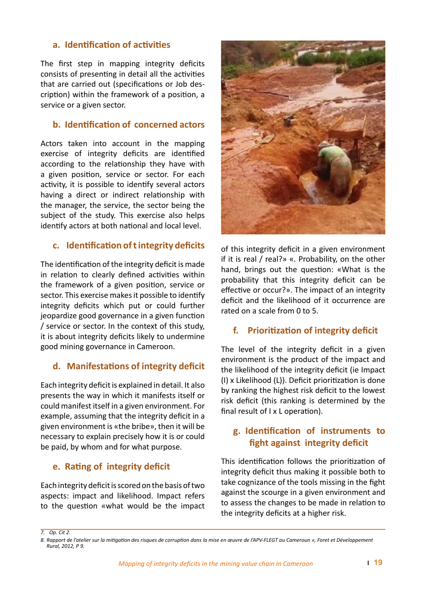#### **a. Identification of activities**

The first step in mapping integrity deficits consists of presenting in detail all the activities that are carried out (specifications or Job description) within the framework of a position, a service or a given sector.

#### **b. Identification of concerned actors**

Actors taken into account in the mapping exercise of integrity deficits are identified according to the relationship they have with a given position, service or sector. For each activity, it is possible to identify several actors having a direct or indirect relationship with the manager, the service, the sector being the subject of the study. This exercise also helps identify actors at both national and local level.

#### **c. Identification of t integrity deficits**

The identification of the integrity deficit is made in relation to clearly defined activities within the framework of a given position, service or sector. This exercise makes it possible to identify integrity deficits which put or could further jeopardize good governance in a given function / service or sector. In the context of this study, it is about integrity deficits likely to undermine good mining governance in Cameroon.

#### **d. Manifestations of integrity deficit**

Each integrity deficit is explained in detail. It also presents the way in which it manifests itself or could manifest itself in a given environment. For example, assuming that the integrity deficit in a given environment is «the bribe», then it will be necessary to explain precisely how it is or could be paid, by whom and for what purpose.

#### **e. Rating of integrity deficit**

Each integrity deficit is scored on the basis of two aspects: impact and likelihood. Impact refers to the question «what would be the impact



of this integrity deficit in a given environment if it is real / real?» «. Probability, on the other hand, brings out the question: «What is the probability that this integrity deficit can be effective or occur?». The impact of an integrity deficit and the likelihood of it occurrence are rated on a scale from 0 to 5.

#### **f. Prioritization of integrity deficit**

The level of the integrity deficit in a given environment is the product of the impact and the likelihood of the integrity deficit (ie Impact (I) x Likelihood (L)). Deficit prioritization is done by ranking the highest risk deficit to the lowest risk deficit (this ranking is determined by the final result of I x L operation).

#### **g. Identification of instruments to fight against integrity deficit**

This identification follows the prioritization of integrity deficit thus making it possible both to take cognizance of the tools missing in the fight against the scourge in a given environment and to assess the changes to be made in relation to the integrity deficits at a higher risk.

*<sup>7.</sup> Op. Cit 2.*

*<sup>8.</sup> Rapport de l'atelier sur la mitigation des risques de corruption dans la mise en œuvre de l'APV-FLEGT au Cameroun », Foret et Développement Rural, 2012, P 9.*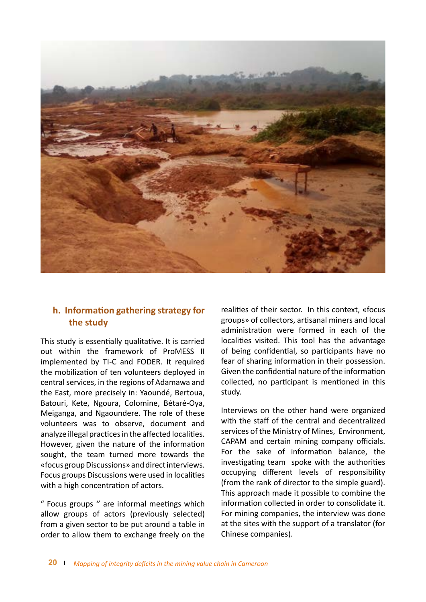

#### **h. Information gathering strategy for the study**

This study is essentially qualitative. It is carried out within the framework of ProMESS II implemented by TI-C and FODER. It required the mobilization of ten volunteers deployed in central services, in the regions of Adamawa and the East, more precisely in: Yaoundé, Bertoua, Batouri, Kete, Ngoura, Colomine, Bétaré-Oya, Meiganga, and Ngaoundere. The role of these volunteers was to observe, document and analyze illegal practices in the affected localities. However, given the nature of the information sought, the team turned more towards the «focus group Discussions» and direct interviews. Focus groups Discussions were used in localities with a high concentration of actors.

" Focus groups '' are informal meetings which allow groups of actors (previously selected) from a given sector to be put around a table in order to allow them to exchange freely on the

realities of their sector. In this context, «focus groups» of collectors, artisanal miners and local administration were formed in each of the localities visited. This tool has the advantage of being confidential, so participants have no fear of sharing information in their possession. Given the confidential nature of the information collected, no participant is mentioned in this study.

Interviews on the other hand were organized with the staff of the central and decentralized services of the Ministry of Mines, Environment, CAPAM and certain mining company officials. For the sake of information balance, the investigating team spoke with the authorities occupying different levels of responsibility (from the rank of director to the simple guard). This approach made it possible to combine the information collected in order to consolidate it. For mining companies, the interview was done at the sites with the support of a translator (for Chinese companies).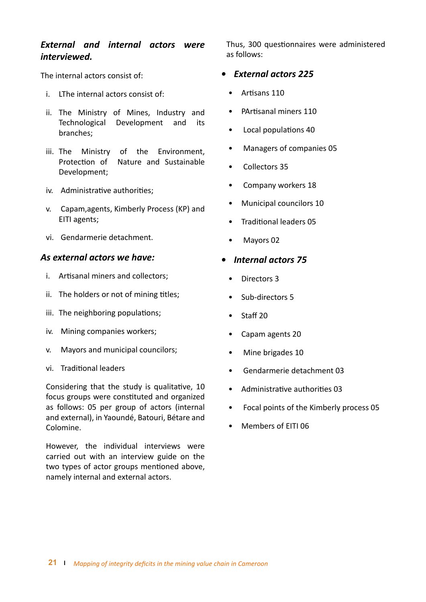#### *External and internal actors were interviewed.*

The internal actors consist of:

- i. LThe internal actors consist of:
- ii. The Ministry of Mines, Industry and Technological Development and its branches;
- iii. The Ministry of the Environment, Protection of Nature and Sustainable Development;
- iv. Administrative authorities;
- v. Capam,agents, Kimberly Process (KP) and EITI agents;
- vi. Gendarmerie detachment.

#### *As external actors we have:*

- i. Artisanal miners and collectors;
- ii. The holders or not of mining titles;
- iii. The neighboring populations;
- iv. Mining companies workers;
- v. Mayors and municipal councilors;
- vi. Traditional leaders

Considering that the study is qualitative, 10 focus groups were constituted and organized as follows: 05 per group of actors (internal and external), in Yaoundé, Batouri, Bétare and Colomine.

However, the individual interviews were carried out with an interview guide on the two types of actor groups mentioned above, namely internal and external actors.

Thus, 300 questionnaires were administered as follows:

#### *• External actors 225*

- Artisans 110
- PArtisanal miners 110
- Local populations 40
- Managers of companies 05
- Collectors 35
- Company workers 18
- Municipal councilors 10
- Traditional leaders 05
- Mayors 02

#### *• Internal actors 75*

- Directors 3
- Sub-directors 5
- Staff 20
- Capam agents 20
- Mine brigades 10
- Gendarmerie detachment 03
- Administrative authorities 03
- Focal points of the Kimberly process 05
- Members of EITI 06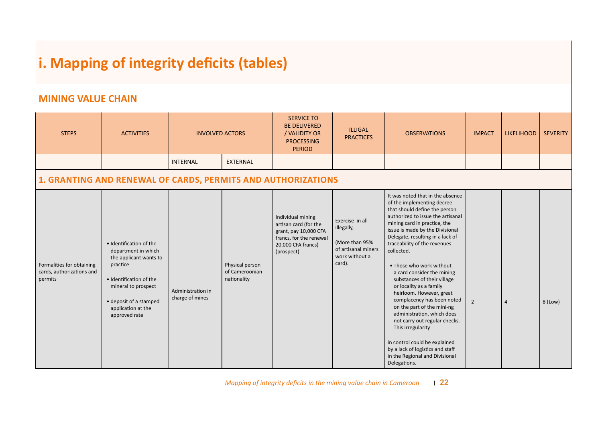### **i. Mapping of integrity deficits (tables)**

#### **MINING VALUE CHAIN**

| <b>STEPS</b>                                                      | <b>ACTIVITIES</b>                                                                                                                                                                                       | <b>INVOLVED ACTORS</b>               |                                                  | <b>SERVICE TO</b><br><b>BE DELIVERED</b><br>/ VALIDITY OR<br><b>PROCESSING</b><br><b>PERIOD</b>                                    | <b>ILLIGAL</b><br><b>PRACTICES</b>                                                                 | <b>OBSERVATIONS</b>                                                                                                                                                                                                                                                                                                                                                                                                                                                                                                                                                                                                                                                                                              | <b>IMPACT</b>  | <b>LIKELIHOOD</b> | <b>SEVERITY</b> |  |
|-------------------------------------------------------------------|---------------------------------------------------------------------------------------------------------------------------------------------------------------------------------------------------------|--------------------------------------|--------------------------------------------------|------------------------------------------------------------------------------------------------------------------------------------|----------------------------------------------------------------------------------------------------|------------------------------------------------------------------------------------------------------------------------------------------------------------------------------------------------------------------------------------------------------------------------------------------------------------------------------------------------------------------------------------------------------------------------------------------------------------------------------------------------------------------------------------------------------------------------------------------------------------------------------------------------------------------------------------------------------------------|----------------|-------------------|-----------------|--|
|                                                                   |                                                                                                                                                                                                         | <b>INTERNAL</b>                      | <b>EXTERNAL</b>                                  |                                                                                                                                    |                                                                                                    |                                                                                                                                                                                                                                                                                                                                                                                                                                                                                                                                                                                                                                                                                                                  |                |                   |                 |  |
| 1. GRANTING AND RENEWAL OF CARDS, PERMITS AND AUTHORIZATIONS      |                                                                                                                                                                                                         |                                      |                                                  |                                                                                                                                    |                                                                                                    |                                                                                                                                                                                                                                                                                                                                                                                                                                                                                                                                                                                                                                                                                                                  |                |                   |                 |  |
| Formalities for obtaining<br>cards, authorizations and<br>permits | · Identification of the<br>department in which<br>the applicant wants to<br>practice<br>· Identification of the<br>mineral to prospect<br>• deposit of a stamped<br>application at the<br>approved rate | Administration in<br>charge of mines | Physical person<br>of Cameroonian<br>nationality | Individual mining<br>artisan card (for the<br>grant, pay 10,000 CFA<br>francs, for the renewal<br>20,000 CFA francs)<br>(prospect) | Exercise in all<br>illegally,<br>(More than 95%<br>of artisanal miners<br>work without a<br>card). | It was noted that in the absence<br>of the implementing decree<br>that should define the person<br>authorized to issue the artisanal<br>mining card in practice, the<br>issue is made by the Divisional<br>Delegate, resulting in a lack of<br>traceability of the revenues<br>collected.<br>• Those who work without<br>a card consider the mining<br>substances of their village<br>or locality as a family<br>heirloom. However, great<br>complacency has been noted<br>on the part of the mini-ng<br>administration, which does<br>not carry out regular checks.<br>This irregularity<br>in control could be explained<br>by a lack of logistics and staff<br>in the Regional and Divisional<br>Delegations. | $\overline{2}$ | $\overline{4}$    | 8 (Low)         |  |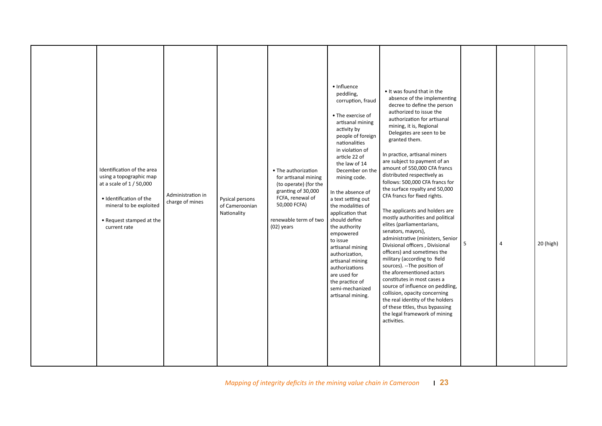|  | Identification of the area<br>using a topographic map<br>at a scale of 1 / 50,000<br>· Identification of the<br>mineral to be exploited<br>• Request stamped at the<br>current rate | Administration in<br>charge of mines | Pysical persons<br>of Cameroonian<br>Nationality | • The authorization<br>for artisanal mining<br>(to operate) (for the<br>granting of 30,000<br>FCFA, renewal of<br>50,000 FCFA)<br>renewable term of two<br>$(02)$ years | • Influence<br>peddling,<br>corruption, fraud<br>• The exercise of<br>artisanal mining<br>activity by<br>people of foreign<br>nationalities<br>in violation of<br>article 22 of<br>the law of 14<br>December on the<br>mining code.<br>In the absence of<br>a text setting out<br>the modalities of<br>application that<br>should define<br>the authority<br>empowered<br>to issue<br>artisanal mining<br>authorization,<br>artisanal mining<br>authorizations<br>are used for<br>the practice of<br>semi-mechanized<br>artisanal mining. | • It was found that in the<br>absence of the implementing<br>decree to define the person<br>authorized to issue the<br>authorization for artisanal<br>mining, it is, Regional<br>Delegates are seen to be<br>granted them.<br>In practice, artisanal miners<br>are subject to payment of an<br>amount of 550,000 CFA francs<br>distributed respectively as<br>follows: 500,000 CFA francs for<br>the surface royalty and 50,000<br>CFA francs for fixed rights.<br>The applicants and holders are<br>mostly authorities and political<br>elites (parliamentarians,<br>senators, mayors),<br>administrative (ministers, Senior<br>Divisional officers, Divisional<br>officers) and sometimes the<br>military (according to field<br>sources). --The position of<br>the aforementioned actors<br>constitutes in most cases a<br>source of influence on peddling,<br>collision, opacity concerning<br>the real identity of the holders<br>of these titles, thus bypassing<br>the legal framework of mining<br>activities. | 5 | 4 | 20 (high) |
|--|-------------------------------------------------------------------------------------------------------------------------------------------------------------------------------------|--------------------------------------|--------------------------------------------------|-------------------------------------------------------------------------------------------------------------------------------------------------------------------------|-------------------------------------------------------------------------------------------------------------------------------------------------------------------------------------------------------------------------------------------------------------------------------------------------------------------------------------------------------------------------------------------------------------------------------------------------------------------------------------------------------------------------------------------|------------------------------------------------------------------------------------------------------------------------------------------------------------------------------------------------------------------------------------------------------------------------------------------------------------------------------------------------------------------------------------------------------------------------------------------------------------------------------------------------------------------------------------------------------------------------------------------------------------------------------------------------------------------------------------------------------------------------------------------------------------------------------------------------------------------------------------------------------------------------------------------------------------------------------------------------------------------------------------------------------------------------|---|---|-----------|
|--|-------------------------------------------------------------------------------------------------------------------------------------------------------------------------------------|--------------------------------------|--------------------------------------------------|-------------------------------------------------------------------------------------------------------------------------------------------------------------------------|-------------------------------------------------------------------------------------------------------------------------------------------------------------------------------------------------------------------------------------------------------------------------------------------------------------------------------------------------------------------------------------------------------------------------------------------------------------------------------------------------------------------------------------------|------------------------------------------------------------------------------------------------------------------------------------------------------------------------------------------------------------------------------------------------------------------------------------------------------------------------------------------------------------------------------------------------------------------------------------------------------------------------------------------------------------------------------------------------------------------------------------------------------------------------------------------------------------------------------------------------------------------------------------------------------------------------------------------------------------------------------------------------------------------------------------------------------------------------------------------------------------------------------------------------------------------------|---|---|-----------|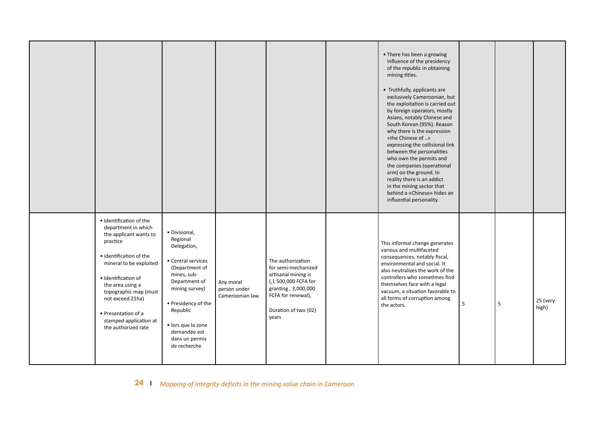|                                                                                                                                                                                                                                                                                                            |                                                                                                                                                                                                                                               |                                              |                                                                                                                                                                       | • There has been a growing<br>influence of the presidency<br>of the republic in obtaining<br>mining titles.<br>• Truthfully, applicants are<br>exclusively Cameroonian, but<br>the exploitation is carried out<br>by foreign operators, mostly<br>Asians, notably Chinese and<br>South Korean (95%). Reason<br>why there is the expression<br>«the Chinese of »<br>expressing the collisional link<br>between the personalities<br>who own the permits and<br>the companies (operational<br>arm) on the ground. In<br>reality there is an addict<br>in the mining sector that<br>behind a «Chinese» hides an<br>influential personality. |   |   |                   |
|------------------------------------------------------------------------------------------------------------------------------------------------------------------------------------------------------------------------------------------------------------------------------------------------------------|-----------------------------------------------------------------------------------------------------------------------------------------------------------------------------------------------------------------------------------------------|----------------------------------------------|-----------------------------------------------------------------------------------------------------------------------------------------------------------------------|------------------------------------------------------------------------------------------------------------------------------------------------------------------------------------------------------------------------------------------------------------------------------------------------------------------------------------------------------------------------------------------------------------------------------------------------------------------------------------------------------------------------------------------------------------------------------------------------------------------------------------------|---|---|-------------------|
| · Identification of the<br>department in which<br>the applicant wants to<br>practice<br>· identification of the<br>mineral to be exploited<br>· Identification of<br>the area using a<br>topographic map (must<br>not exceed 21ha)<br>• Presentation of a<br>stamped application at<br>the authorized rate | · Divisional,<br>Regional<br>Delegation,<br>• Central services<br>(Department of<br>mines, sub-<br>Department of<br>mining survey)<br>• Presidency of the<br>Republic<br>· lors que la zone<br>demandée est<br>dans un permis<br>de recherche | Any moral<br>person under<br>Cameroonian law | The authorization<br>for semi-mechanized<br>artisanal mining is<br>(,1 500,000 FCFA for<br>granting, 3,000,000<br>FCFA for renewal),<br>Duration of two (02)<br>years | This informal change generates<br>various and multifaceted<br>consequences, notably fiscal,<br>environmental and social. It<br>also neutralizes the work of the<br>controllers who sometimes find<br>themselves face with a legal<br>vacuum, a situation favorable to<br>all forms of corruption among<br>the actors.                                                                                                                                                                                                                                                                                                                    | 5 | 5 | 25 (very<br>high) |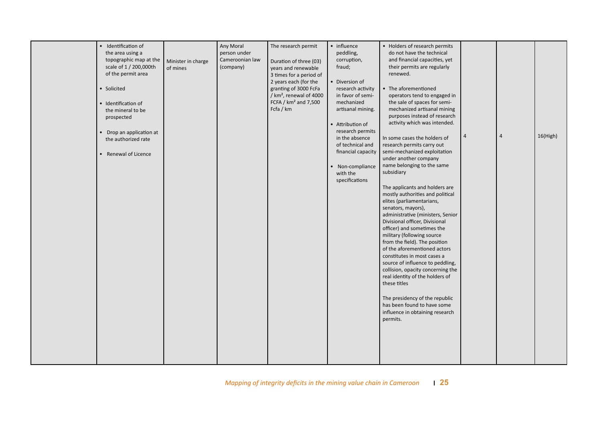|  | the area using a<br>topographic map at the<br>scale of 1 / 200,000th<br>of the permit area<br>• Solicited<br>· Identification of<br>the mineral to be<br>prospected<br>• Drop an application at<br>the authorized rate<br>• Renewal of Licence | Minister in charge<br>of mines | person under<br>Cameroonian law<br>(company) | Duration of three (03)<br>years and renewable<br>3 times for a period of<br>2 years each (for the<br>granting of 3000 FcFa<br>/ $km^2$ , renewal of 4000<br>FCFA / $km^2$ and 7,500<br>Fcfa / km | peddling,<br>corruption,<br>fraud;<br>Diversion of<br>research activity<br>in favor of semi-<br>mechanized<br>artisanal mining.<br>• Attribution of<br>research permits<br>in the absence<br>of technical and<br>financial capacity<br>• Non-compliance<br>with the<br>specifications | do not have the technical<br>and financial capacities, yet<br>their permits are regularly<br>renewed.<br>• The aforementioned<br>operators tend to engaged in<br>the sale of spaces for semi-<br>mechanized artisanal mining<br>purposes instead of research<br>activity which was intended.<br>In some cases the holders of<br>research permits carry out<br>semi-mechanized exploitation<br>under another company<br>name belonging to the same<br>subsidiary<br>The applicants and holders are<br>mostly authorities and political<br>elites (parliamentarians,<br>senators, mayors),<br>administrative (ministers, Senior<br>Divisional officer, Divisional<br>officer) and sometimes the<br>military (following source<br>from the field). The position<br>of the aforementioned actors<br>constitutes in most cases a<br>source of influence to peddling,<br>collision, opacity concerning the<br>real identity of the holders of<br>these titles<br>The presidency of the republic<br>has been found to have some<br>influence in obtaining research<br>permits. | 4 | $\overline{4}$ | 16(High) |
|--|------------------------------------------------------------------------------------------------------------------------------------------------------------------------------------------------------------------------------------------------|--------------------------------|----------------------------------------------|--------------------------------------------------------------------------------------------------------------------------------------------------------------------------------------------------|---------------------------------------------------------------------------------------------------------------------------------------------------------------------------------------------------------------------------------------------------------------------------------------|-------------------------------------------------------------------------------------------------------------------------------------------------------------------------------------------------------------------------------------------------------------------------------------------------------------------------------------------------------------------------------------------------------------------------------------------------------------------------------------------------------------------------------------------------------------------------------------------------------------------------------------------------------------------------------------------------------------------------------------------------------------------------------------------------------------------------------------------------------------------------------------------------------------------------------------------------------------------------------------------------------------------------------------------------------------------------|---|----------------|----------|
|--|------------------------------------------------------------------------------------------------------------------------------------------------------------------------------------------------------------------------------------------------|--------------------------------|----------------------------------------------|--------------------------------------------------------------------------------------------------------------------------------------------------------------------------------------------------|---------------------------------------------------------------------------------------------------------------------------------------------------------------------------------------------------------------------------------------------------------------------------------------|-------------------------------------------------------------------------------------------------------------------------------------------------------------------------------------------------------------------------------------------------------------------------------------------------------------------------------------------------------------------------------------------------------------------------------------------------------------------------------------------------------------------------------------------------------------------------------------------------------------------------------------------------------------------------------------------------------------------------------------------------------------------------------------------------------------------------------------------------------------------------------------------------------------------------------------------------------------------------------------------------------------------------------------------------------------------------|---|----------------|----------|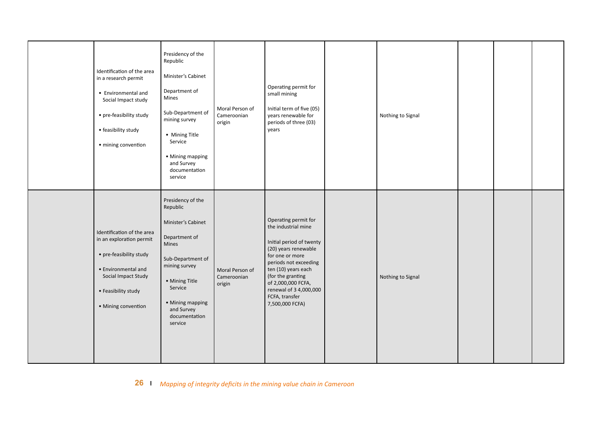| Identification of the area<br>in a research permit<br>• Environmental and<br>Social Impact study<br>• pre-feasibility study<br>• feasibility study<br>· mining convention     | Presidency of the<br>Republic<br>Minister's Cabinet<br>Department of<br>Mines<br>Sub-Department of<br>mining survey<br>• Mining Title<br>Service<br>• Mining mapping<br>and Survey<br>documentation<br>service | Moral Person of<br>Cameroonian<br>origin | Operating permit for<br>small mining<br>Initial term of five (05)<br>years renewable for<br>periods of three (03)<br>years                                                                                                                                                   | Nothing to Signal |  |  |
|-------------------------------------------------------------------------------------------------------------------------------------------------------------------------------|----------------------------------------------------------------------------------------------------------------------------------------------------------------------------------------------------------------|------------------------------------------|------------------------------------------------------------------------------------------------------------------------------------------------------------------------------------------------------------------------------------------------------------------------------|-------------------|--|--|
| Identification of the area<br>in an exploration permit<br>• pre-feasibility study<br>• Environmental and<br>Social Impact Study<br>• Feasibility study<br>• Mining convention | Presidency of the<br>Republic<br>Minister's Cabinet<br>Department of<br>Mines<br>Sub-Department of<br>mining survey<br>• Mining Title<br>Service<br>• Mining mapping<br>and Survey<br>documentation<br>service | Moral Person of<br>Cameroonian<br>origin | Operating permit for<br>the industrial mine<br>Initial period of twenty<br>(20) years renewable<br>for one or more<br>periods not exceeding<br>ten (10) years each<br>(for the granting<br>of 2,000,000 FCFA,<br>renewal of 3 4,000,000<br>FCFA, transfer<br>7,500,000 FCFA) | Nothing to Signal |  |  |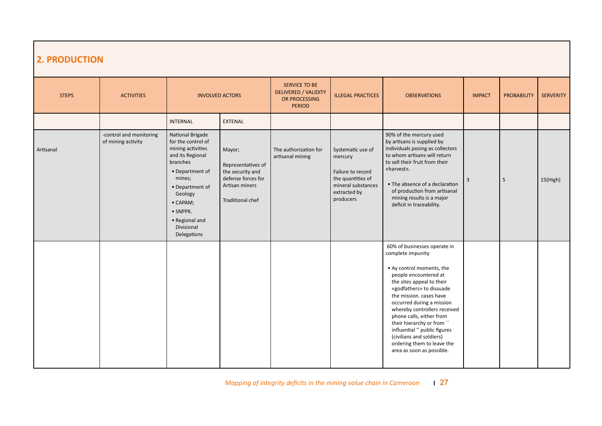| <b>2. PRODUCTION</b> |                                               |                                                                                                                                                                                                                               |                                                                                                                     |                                                                                |                                                                                                                           |                                                                                                                                                                                                                                                                                                                                                                                                                                          |                |                    |                  |
|----------------------|-----------------------------------------------|-------------------------------------------------------------------------------------------------------------------------------------------------------------------------------------------------------------------------------|---------------------------------------------------------------------------------------------------------------------|--------------------------------------------------------------------------------|---------------------------------------------------------------------------------------------------------------------------|------------------------------------------------------------------------------------------------------------------------------------------------------------------------------------------------------------------------------------------------------------------------------------------------------------------------------------------------------------------------------------------------------------------------------------------|----------------|--------------------|------------------|
| <b>STEPS</b>         | <b>ACTIVITIES</b>                             |                                                                                                                                                                                                                               | <b>INVOLVED ACTORS</b>                                                                                              | SERVICE TO BE<br><b>DELIVERED / VALIDITY</b><br>OR PROCESSING<br><b>PERIOD</b> | <b>ILLEGAL PRACTICES</b>                                                                                                  | <b>OBSERVATIONS</b>                                                                                                                                                                                                                                                                                                                                                                                                                      | <b>IMPACT</b>  | <b>PROBABILITY</b> | <b>SERVERITY</b> |
|                      |                                               | <b>INTERNAL</b>                                                                                                                                                                                                               | EXTENAL                                                                                                             |                                                                                |                                                                                                                           |                                                                                                                                                                                                                                                                                                                                                                                                                                          |                |                    |                  |
| Artisanal            | -control and monitoring<br>of mining activity | National Brigade<br>for the control of<br>mining activities<br>and its Regional<br>branches<br>• Department of<br>mines;<br>• Department of<br>Geology<br>• CAPAM;<br>• SNPPK.<br>• Regional and<br>Divisional<br>Delegations | Mayor;<br>Representatives of<br>the security and<br>defense forces for<br>Artisan miners<br><b>Traditional chef</b> | The authorization for<br>artisanal mining                                      | Systematic use of<br>mercury<br>Failure to record<br>the quantities of<br>mineral substances<br>extracted by<br>producers | 90% of the mercury used<br>by artisans is supplied by<br>individuals posing as collectors<br>to whom artisans will return<br>to sell their fruit from their<br>«harvest».<br>• The absence of a declaration<br>of production from artisanal<br>mining results is a major<br>deficit in traceability.                                                                                                                                     | $\overline{3}$ | 5                  | 15(High)         |
|                      |                                               |                                                                                                                                                                                                                               |                                                                                                                     |                                                                                |                                                                                                                           | 60% of businesses operate in<br>complete impunity<br>• Ay control moments, the<br>people encountered at<br>the sites appeal to their<br>«godfathers» to dissuade<br>the mission. cases have<br>occurred during a mission<br>whereby controllers received<br>phone calls, either from<br>their hierarchy or from "<br>influential " public figures<br>(civilians and soldiers)<br>ordering them to leave the<br>area as soon as possible. |                |                    |                  |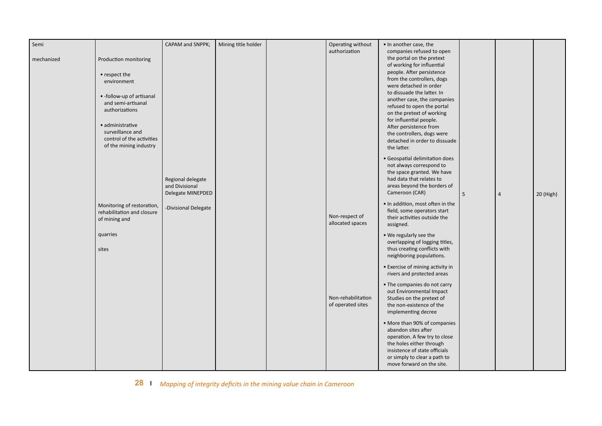| Semi       |                                                                                             | CAPAM and SNPPK;                                         | Mining title holder | Operating without<br>authorization      | • In another case, the<br>companies refused to open                                                                                                                                                            |   |                |           |
|------------|---------------------------------------------------------------------------------------------|----------------------------------------------------------|---------------------|-----------------------------------------|----------------------------------------------------------------------------------------------------------------------------------------------------------------------------------------------------------------|---|----------------|-----------|
| mechanized | Production monitoring                                                                       |                                                          |                     |                                         | the portal on the pretext<br>of working for influential                                                                                                                                                        |   |                |           |
|            | • respect the<br>environment                                                                |                                                          |                     |                                         | people. After persistence<br>from the controllers, dogs<br>were detached in order                                                                                                                              |   |                |           |
|            | • -follow-up of artisanal<br>and semi-artisanal<br>authorizations                           |                                                          |                     |                                         | to dissuade the latter. In<br>another case, the companies<br>refused to open the portal<br>on the pretext of working<br>for influential people.                                                                |   |                |           |
|            | · administrative<br>surveillance and<br>control of the activities<br>of the mining industry |                                                          |                     |                                         | After persistence from<br>the controllers, dogs were<br>detached in order to dissuade<br>the latter.                                                                                                           |   |                |           |
|            |                                                                                             | Regional delegate<br>and Divisional<br>Delegate MINEPDED |                     |                                         | • Geospatial delimitation does<br>not always correspond to<br>the space granted. We have<br>had data that relates to<br>areas beyond the borders of<br>Cameroon (CAR)                                          | 5 | $\overline{4}$ | 20 (High) |
|            | Monitoring of restoration,<br>rehabilitation and closure<br>of mining and                   | -Divisional Delegate                                     |                     | Non-respect of<br>allocated spaces      | . In addition, most often in the<br>field, some operators start<br>their activities outside the<br>assigned.                                                                                                   |   |                |           |
|            | quarries<br>sites                                                                           |                                                          |                     |                                         | . We regularly see the<br>overlapping of logging titles,<br>thus creating conflicts with<br>neighboring populations.                                                                                           |   |                |           |
|            |                                                                                             |                                                          |                     |                                         | • Exercise of mining activity in<br>rivers and protected areas                                                                                                                                                 |   |                |           |
|            |                                                                                             |                                                          |                     | Non-rehabilitation<br>of operated sites | • The companies do not carry<br>out Environmental Impact<br>Studies on the pretext of<br>the non-existence of the<br>implementing decree                                                                       |   |                |           |
|            |                                                                                             |                                                          |                     |                                         | • More than 90% of companies<br>abandon sites after<br>operation. A few try to close<br>the holes either through<br>insistence of state officials<br>or simply to clear a path to<br>move forward on the site. |   |                |           |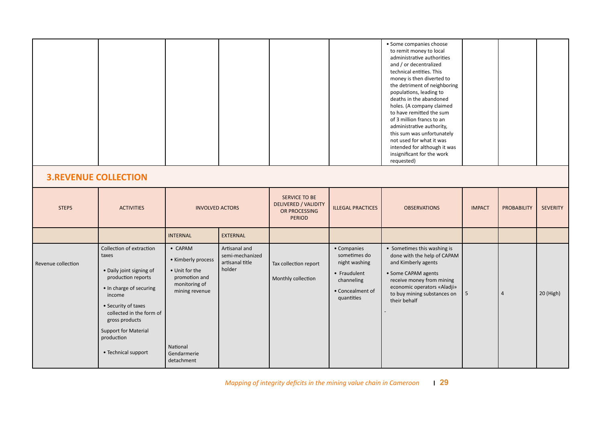|                    |                                                                                                                                                                                                                                                            |                                                                                                                                              |                                                               |                                                                         |                                                                                                              | · Some companies choose<br>to remit money to local<br>administrative authorities<br>and / or decentralized<br>technical entities. This<br>money is then diverted to<br>the detriment of neighboring<br>populations, leading to<br>deaths in the abandoned<br>holes. (A company claimed<br>to have remitted the sum<br>of 3 million francs to an<br>administrative authority,<br>this sum was unfortunately<br>not used for what it was<br>intended for although it was<br>insignificant for the work<br>requested) |               |                    |                 |
|--------------------|------------------------------------------------------------------------------------------------------------------------------------------------------------------------------------------------------------------------------------------------------------|----------------------------------------------------------------------------------------------------------------------------------------------|---------------------------------------------------------------|-------------------------------------------------------------------------|--------------------------------------------------------------------------------------------------------------|--------------------------------------------------------------------------------------------------------------------------------------------------------------------------------------------------------------------------------------------------------------------------------------------------------------------------------------------------------------------------------------------------------------------------------------------------------------------------------------------------------------------|---------------|--------------------|-----------------|
|                    | <b>3.REVENUE COLLECTION</b>                                                                                                                                                                                                                                |                                                                                                                                              |                                                               |                                                                         |                                                                                                              |                                                                                                                                                                                                                                                                                                                                                                                                                                                                                                                    |               |                    |                 |
| <b>STEPS</b>       | <b>ACTIVITIES</b>                                                                                                                                                                                                                                          | <b>INVOLVED ACTORS</b>                                                                                                                       |                                                               | SERVICE TO BE<br>DELIVERED / VALIDITY<br>OR PROCESSING<br><b>PERIOD</b> | <b>ILLEGAL PRACTICES</b>                                                                                     | <b>OBSERVATIONS</b>                                                                                                                                                                                                                                                                                                                                                                                                                                                                                                | <b>IMPACT</b> | <b>PROBABILITY</b> | <b>SEVERITY</b> |
|                    |                                                                                                                                                                                                                                                            | <b>INTERNAL</b>                                                                                                                              | <b>EXTERNAL</b>                                               |                                                                         |                                                                                                              |                                                                                                                                                                                                                                                                                                                                                                                                                                                                                                                    |               |                    |                 |
| Revenue collection | Collection of extraction<br>taxes<br>• Daily joint signing of<br>production reports<br>• In charge of securing<br>income<br>• Security of taxes<br>collected in the form of<br>gross products<br>Support for Material<br>production<br>• Technical support | • CAPAM<br>• Kimberly process<br>• Unit for the<br>promotion and<br>monitoring of<br>mining revenue<br>National<br>Gendarmerie<br>detachment | Artisanal and<br>semi-mechanized<br>artisanal title<br>holder | Tax collection report<br>Monthly collection                             | • Companies<br>sometimes do<br>night washing<br>• Fraudulent<br>channeling<br>• Concealment of<br>quantities | • Sometimes this washing is<br>done with the help of CAPAM<br>and Kimberly agents<br>• Some CAPAM agents<br>receive money from mining<br>economic operators «Aladji»<br>to buy mining substances on<br>their behalf                                                                                                                                                                                                                                                                                                | 5             | $\overline{4}$     | 20 (High)       |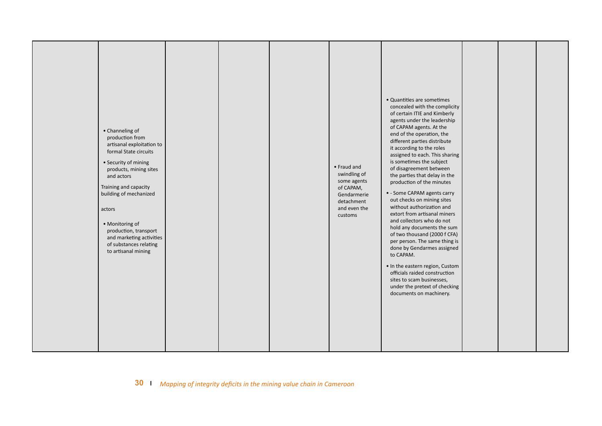|  | • Channeling of<br>production from<br>artisanal exploitation to<br>formal State circuits<br>• Security of mining<br>products, mining sites<br>and actors<br>Training and capacity<br>building of mechanized<br>actors<br>• Monitoring of<br>production, transport<br>and marketing activities<br>of substances relating<br>to artisanal mining |  |  |  | • Fraud and<br>swindling of<br>some agents<br>of CAPAM,<br>Gendarmerie<br>detachment<br>and even the<br>customs | · Quantities are sometimes<br>concealed with the complicity<br>of certain ITIE and Kimberly<br>agents under the leadership<br>of CAPAM agents. At the<br>end of the operation, the<br>different parties distribute<br>it according to the roles<br>assigned to each. This sharing<br>is sometimes the subject<br>of disagreement between<br>the parties that delay in the<br>production of the minutes<br>• - Some CAPAM agents carry<br>out checks on mining sites<br>without authorization and<br>extort from artisanal miners<br>and collectors who do not<br>hold any documents the sum<br>of two thousand (2000 f CFA)<br>per person. The same thing is<br>done by Gendarmes assigned<br>to CAPAM.<br>. In the eastern region, Custom<br>officials raided construction<br>sites to scam businesses,<br>under the pretext of checking<br>documents on machinery. |  |  |  |
|--|------------------------------------------------------------------------------------------------------------------------------------------------------------------------------------------------------------------------------------------------------------------------------------------------------------------------------------------------|--|--|--|-----------------------------------------------------------------------------------------------------------------|----------------------------------------------------------------------------------------------------------------------------------------------------------------------------------------------------------------------------------------------------------------------------------------------------------------------------------------------------------------------------------------------------------------------------------------------------------------------------------------------------------------------------------------------------------------------------------------------------------------------------------------------------------------------------------------------------------------------------------------------------------------------------------------------------------------------------------------------------------------------|--|--|--|
|--|------------------------------------------------------------------------------------------------------------------------------------------------------------------------------------------------------------------------------------------------------------------------------------------------------------------------------------------------|--|--|--|-----------------------------------------------------------------------------------------------------------------|----------------------------------------------------------------------------------------------------------------------------------------------------------------------------------------------------------------------------------------------------------------------------------------------------------------------------------------------------------------------------------------------------------------------------------------------------------------------------------------------------------------------------------------------------------------------------------------------------------------------------------------------------------------------------------------------------------------------------------------------------------------------------------------------------------------------------------------------------------------------|--|--|--|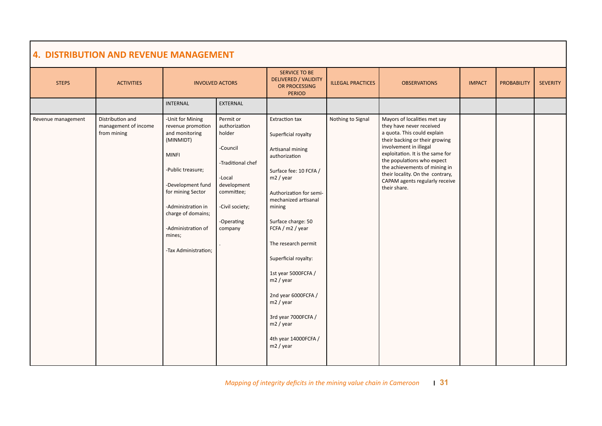| <b>STEPS</b>       | <b>ACTIVITIES</b>                                       |                                                                                                                                                                                                                                                         | <b>INVOLVED ACTORS</b>                                                                                                                                   | SERVICE TO BE<br><b>DELIVERED / VALIDITY</b><br>OR PROCESSING<br><b>PERIOD</b>                                                                                                                                                                                                                                                                                                                                                  | <b>ILLEGAL PRACTICES</b> | <b>OBSERVATIONS</b>                                                                                                                                                                                                                                                                                                                          | <b>IMPACT</b> | <b>PROBABILITY</b> | <b>SEVERITY</b> |
|--------------------|---------------------------------------------------------|---------------------------------------------------------------------------------------------------------------------------------------------------------------------------------------------------------------------------------------------------------|----------------------------------------------------------------------------------------------------------------------------------------------------------|---------------------------------------------------------------------------------------------------------------------------------------------------------------------------------------------------------------------------------------------------------------------------------------------------------------------------------------------------------------------------------------------------------------------------------|--------------------------|----------------------------------------------------------------------------------------------------------------------------------------------------------------------------------------------------------------------------------------------------------------------------------------------------------------------------------------------|---------------|--------------------|-----------------|
|                    |                                                         | <b>INTERNAL</b>                                                                                                                                                                                                                                         | <b>EXTERNAL</b>                                                                                                                                          |                                                                                                                                                                                                                                                                                                                                                                                                                                 |                          |                                                                                                                                                                                                                                                                                                                                              |               |                    |                 |
| Revenue management | Distribution and<br>management of income<br>from mining | -Unit for Mining<br>revenue promotion<br>and monitoring<br>(MINMIDT)<br><b>MINFI</b><br>-Public treasure;<br>-Development fund<br>for mining Sector<br>-Administration in<br>charge of domains;<br>-Administration of<br>mines;<br>-Tax Administration; | Permit or<br>authorization<br>holder<br>-Council<br>-Traditional chef<br>-Local<br>development<br>committee;<br>-Civil society;<br>-Operating<br>company | <b>Extraction tax</b><br>Superficial royalty<br>Artisanal mining<br>authorization<br>Surface fee: 10 FCFA /<br>m2 / year<br>Authorization for semi-<br>mechanized artisanal<br>mining<br>Surface charge: 50<br>FCFA / m2 / year<br>The research permit<br>Superficial royalty:<br>1st year 5000FCFA /<br>m2 / year<br>2nd year 6000FCFA /<br>m2 / year<br>3rd year 7000FCFA /<br>m2 / year<br>4th year 14000FCFA /<br>m2 / year | Nothing to Signal        | Mayors of localities met say<br>they have never received<br>a quota. This could explain<br>their backing or their growing<br>involvement in illegal<br>exploitation. It is the same for<br>the populations who expect<br>the achievements of mining in<br>their locality. On the contrary,<br>CAPAM agents regularly receive<br>their share. |               |                    |                 |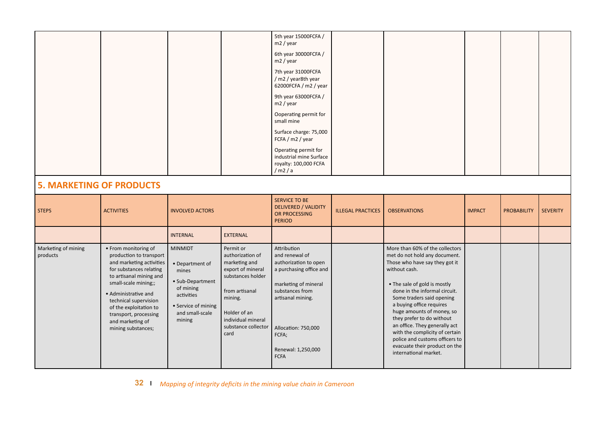|                                 |                                                                                                                                                                                                                                                                                                         |                                                                                                                                               |                                                                                                                                                                                            | 5th year 15000FCFA /<br>m2 / year                                                                                                                                                                                      |                          |                                                                                                                                                                                                                                                                                                                                                                                                                                                                        |               |                    |                 |
|---------------------------------|---------------------------------------------------------------------------------------------------------------------------------------------------------------------------------------------------------------------------------------------------------------------------------------------------------|-----------------------------------------------------------------------------------------------------------------------------------------------|--------------------------------------------------------------------------------------------------------------------------------------------------------------------------------------------|------------------------------------------------------------------------------------------------------------------------------------------------------------------------------------------------------------------------|--------------------------|------------------------------------------------------------------------------------------------------------------------------------------------------------------------------------------------------------------------------------------------------------------------------------------------------------------------------------------------------------------------------------------------------------------------------------------------------------------------|---------------|--------------------|-----------------|
|                                 |                                                                                                                                                                                                                                                                                                         |                                                                                                                                               |                                                                                                                                                                                            | 6th year 30000FCFA /<br>m2 / year                                                                                                                                                                                      |                          |                                                                                                                                                                                                                                                                                                                                                                                                                                                                        |               |                    |                 |
|                                 |                                                                                                                                                                                                                                                                                                         |                                                                                                                                               |                                                                                                                                                                                            | 7th year 31000FCFA<br>/ m2 / year8th year<br>62000FCFA / m2 / year                                                                                                                                                     |                          |                                                                                                                                                                                                                                                                                                                                                                                                                                                                        |               |                    |                 |
|                                 |                                                                                                                                                                                                                                                                                                         |                                                                                                                                               |                                                                                                                                                                                            | 9th year 63000FCFA /<br>m2 / year                                                                                                                                                                                      |                          |                                                                                                                                                                                                                                                                                                                                                                                                                                                                        |               |                    |                 |
|                                 |                                                                                                                                                                                                                                                                                                         |                                                                                                                                               |                                                                                                                                                                                            | Ooperating permit for<br>small mine                                                                                                                                                                                    |                          |                                                                                                                                                                                                                                                                                                                                                                                                                                                                        |               |                    |                 |
|                                 |                                                                                                                                                                                                                                                                                                         |                                                                                                                                               |                                                                                                                                                                                            | Surface charge: 75,000<br>FCFA / m2 / year                                                                                                                                                                             |                          |                                                                                                                                                                                                                                                                                                                                                                                                                                                                        |               |                    |                 |
|                                 |                                                                                                                                                                                                                                                                                                         |                                                                                                                                               |                                                                                                                                                                                            | Operating permit for<br>industrial mine Surface<br>royalty: 100,000 FCFA<br>/m2/a                                                                                                                                      |                          |                                                                                                                                                                                                                                                                                                                                                                                                                                                                        |               |                    |                 |
| <b>5. MARKETING OF PRODUCTS</b> |                                                                                                                                                                                                                                                                                                         |                                                                                                                                               |                                                                                                                                                                                            |                                                                                                                                                                                                                        |                          |                                                                                                                                                                                                                                                                                                                                                                                                                                                                        |               |                    |                 |
| <b>STEPS</b>                    | <b>ACTIVITIES</b>                                                                                                                                                                                                                                                                                       | <b>INVOLVED ACTORS</b>                                                                                                                        |                                                                                                                                                                                            | <b>SERVICE TO BE</b><br><b>DELIVERED / VALIDITY</b><br>OR PROCESSING<br><b>PERIOD</b>                                                                                                                                  | <b>ILLEGAL PRACTICES</b> | <b>OBSERVATIONS</b>                                                                                                                                                                                                                                                                                                                                                                                                                                                    | <b>IMPACT</b> | <b>PROBABILITY</b> | <b>SEVERITY</b> |
|                                 |                                                                                                                                                                                                                                                                                                         | <b>INTERNAL</b>                                                                                                                               | <b>EXTERNAL</b>                                                                                                                                                                            |                                                                                                                                                                                                                        |                          |                                                                                                                                                                                                                                                                                                                                                                                                                                                                        |               |                    |                 |
| Marketing of mining<br>products | • From monitoring of<br>production to transport<br>and marketing activities<br>for substances relating<br>to artisanal mining and<br>small-scale mining;;<br>• Administrative and<br>technical supervision<br>of the exploitation to<br>transport, processing<br>and marketing of<br>mining substances; | <b>MINMIDT</b><br>• Department of<br>mines<br>• Sub-Department<br>of mining<br>activities<br>• Service of mining<br>and small-scale<br>mining | Permit or<br>authorization of<br>marketing and<br>export of mineral<br>substances holder<br>from artisanal<br>mining.<br>Holder of an<br>individual mineral<br>substance collector<br>card | Attribution<br>and renewal of<br>authorization to open<br>a purchasing office and<br>marketing of mineral<br>substances from<br>artisanal mining.<br>Allocation: 750,000<br>FCFA;<br>Renewal: 1,250,000<br><b>FCFA</b> |                          | More than 60% of the collectors<br>met do not hold any document.<br>Those who have say they got it<br>without cash.<br>• The sale of gold is mostly<br>done in the informal circuit.<br>Some traders said opening<br>a buying office requires<br>huge amounts of money, so<br>they prefer to do without<br>an office. They generally act<br>with the complicity of certain<br>police and customs officers to<br>evacuate their product on the<br>international market. |               |                    |                 |

**32** *Mapping of integrity deficits in the mining value chain in Cameroon*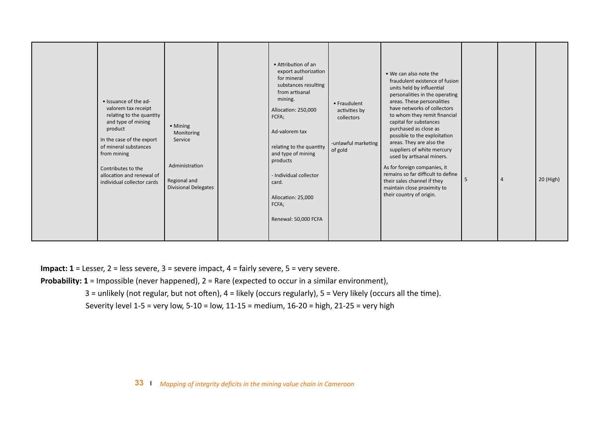|  | • Issuance of the ad-<br>valorem tax receipt<br>relating to the quantity<br>and type of mining<br>product<br>In the case of the export<br>of mineral substances<br>from mining<br>Contributes to the<br>allocation and renewal of<br>individual collector cards | • Mining<br>Monitoring<br>Service<br>Administration<br>Regional and<br><b>Divisional Delegates</b> |  | • Attribution of an<br>export authorization<br>for mineral<br>substances resulting<br>from artisanal<br>mining.<br>Allocation: 250,000<br>FCFA;<br>Ad-valorem tax<br>relating to the quantity<br>and type of mining<br>products<br>- Individual collector<br>card.<br>Allocation: 25,000<br>FCFA;<br>Renewal: 50,000 FCFA | • Fraudulent<br>activities by<br>collectors<br>-unlawful marketing<br>of gold | . We can also note the<br>fraudulent existence of fusion<br>units held by influential<br>personalities in the operating<br>areas. These personalities<br>have networks of collectors<br>to whom they remit financial<br>capital for substances<br>purchased as close as<br>possible to the exploitation<br>areas. They are also the<br>suppliers of white mercury<br>used by artisanal miners.<br>As for foreign companies, it<br>remains so far difficult to define<br>their sales channel if they<br>maintain close proximity to<br>their country of origin. | -5 | $\overline{4}$ | 20 (High) |
|--|-----------------------------------------------------------------------------------------------------------------------------------------------------------------------------------------------------------------------------------------------------------------|----------------------------------------------------------------------------------------------------|--|---------------------------------------------------------------------------------------------------------------------------------------------------------------------------------------------------------------------------------------------------------------------------------------------------------------------------|-------------------------------------------------------------------------------|----------------------------------------------------------------------------------------------------------------------------------------------------------------------------------------------------------------------------------------------------------------------------------------------------------------------------------------------------------------------------------------------------------------------------------------------------------------------------------------------------------------------------------------------------------------|----|----------------|-----------|
|--|-----------------------------------------------------------------------------------------------------------------------------------------------------------------------------------------------------------------------------------------------------------------|----------------------------------------------------------------------------------------------------|--|---------------------------------------------------------------------------------------------------------------------------------------------------------------------------------------------------------------------------------------------------------------------------------------------------------------------------|-------------------------------------------------------------------------------|----------------------------------------------------------------------------------------------------------------------------------------------------------------------------------------------------------------------------------------------------------------------------------------------------------------------------------------------------------------------------------------------------------------------------------------------------------------------------------------------------------------------------------------------------------------|----|----------------|-----------|

**Impact: 1** = Lesser, 2 = less severe, 3 = severe impact, 4 = fairly severe, 5 = very severe.

**Probability: 1** = Impossible (never happened), 2 = Rare (expected to occur in a similar environment),

3 = unlikely (not regular, but not often), 4 = likely (occurs regularly), 5 = Very likely (occurs all the time).

Severity level 1-5 = very low, 5-10 = low, 11-15 = medium, 16-20 = high, 21-25 = very high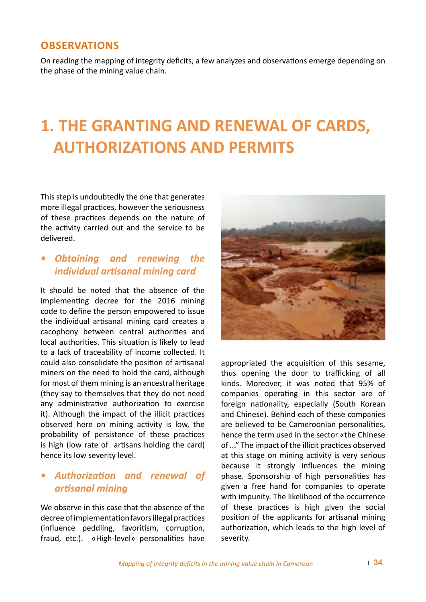#### **OBSERVATIONS**

On reading the mapping of integrity deficits, a few analyzes and observations emerge depending on the phase of the mining value chain.

## **1. THE GRANTING AND RENEWAL OF CARDS, AUTHORIZATIONS AND PERMITS**

This step is undoubtedly the one that generates more illegal practices, however the seriousness of these practices depends on the nature of the activity carried out and the service to be delivered.

#### *• Obtaining and renewing the individual artisanal mining card*

It should be noted that the absence of the implementing decree for the 2016 mining code to define the person empowered to issue the individual artisanal mining card creates a cacophony between central authorities and local authorities. This situation is likely to lead to a lack of traceability of income collected. It could also consolidate the position of artisanal miners on the need to hold the card, although for most of them mining is an ancestral heritage (they say to themselves that they do not need any administrative authorization to exercise it). Although the impact of the illicit practices observed here on mining activity is low, the probability of persistence of these practices is high (low rate of artisans holding the card) hence its low severity level.

#### *• Authorization and renewal of artisanal mining*

We observe in this case that the absence of the decree of implementation favors illegal practices (influence peddling, favoritism, corruption, fraud, etc.). «High-level» personalities have



appropriated the acquisition of this sesame, thus opening the door to trafficking of all kinds. Moreover, it was noted that 95% of companies operating in this sector are of foreign nationality, especially (South Korean and Chinese). Behind each of these companies are believed to be Cameroonian personalities, hence the term used in the sector «the Chinese of ..." The impact of the illicit practices observed at this stage on mining activity is very serious because it strongly influences the mining phase. Sponsorship of high personalities has given a free hand for companies to operate with impunity. The likelihood of the occurrence of these practices is high given the social position of the applicants for artisanal mining authorization, which leads to the high level of severity.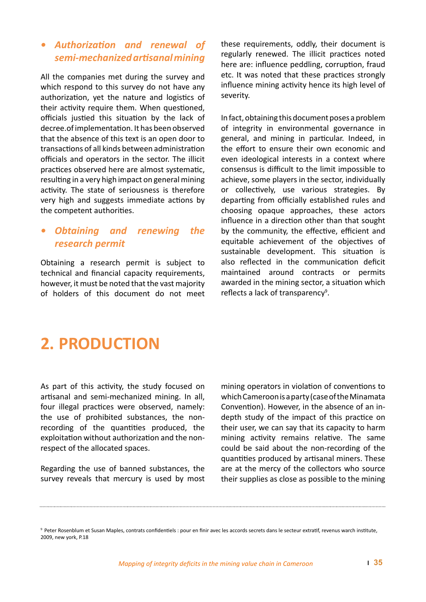#### *• Authorization and renewal of semi-mechanized artisanal mining*

All the companies met during the survey and which respond to this survey do not have any authorization, yet the nature and logistics of their activity require them. When questioned, officials justied this situation by the lack of decree.of implementation. It has been observed that the absence of this text is an open door to transactions of all kinds between administration officials and operators in the sector. The illicit practices observed here are almost systematic, resulting in a very high impact on general mining activity. The state of seriousness is therefore very high and suggests immediate actions by the competent authorities.

#### *• Obtaining and renewing the research permit*

Obtaining a research permit is subject to technical and financial capacity requirements, however, it must be noted that the vast majority of holders of this document do not meet these requirements, oddly, their document is regularly renewed. The illicit practices noted here are: influence peddling, corruption, fraud etc. It was noted that these practices strongly influence mining activity hence its high level of severity.

In fact, obtaining this document poses a problem of integrity in environmental governance in general, and mining in particular. Indeed, in the effort to ensure their own economic and even ideological interests in a context where consensus is difficult to the limit impossible to achieve, some players in the sector, individually or collectively, use various strategies. By departing from officially established rules and choosing opaque approaches, these actors influence in a direction other than that sought by the community, the effective, efficient and equitable achievement of the objectives of sustainable development. This situation is also reflected in the communication deficit maintained around contracts or permits awarded in the mining sector, a situation which reflects a lack of transparency<sup>9</sup>.

## **2. PRODUCTION**

As part of this activity, the study focused on artisanal and semi-mechanized mining. In all, four illegal practices were observed, namely: the use of prohibited substances, the nonrecording of the quantities produced, the exploitation without authorization and the nonrespect of the allocated spaces.

Regarding the use of banned substances, the survey reveals that mercury is used by most

mining operators in violation of conventions to which Cameroon is a party (case of the Minamata Convention). However, in the absence of an indepth study of the impact of this practice on their user, we can say that its capacity to harm mining activity remains relative. The same could be said about the non-recording of the quantities produced by artisanal miners. These are at the mercy of the collectors who source their supplies as close as possible to the mining

<sup>9</sup> Peter Rosenblum et Susan Maples, contrats confidentiels : pour en finir avec les accords secrets dans le secteur extratif, revenus warch institute, 2009, new york, P.18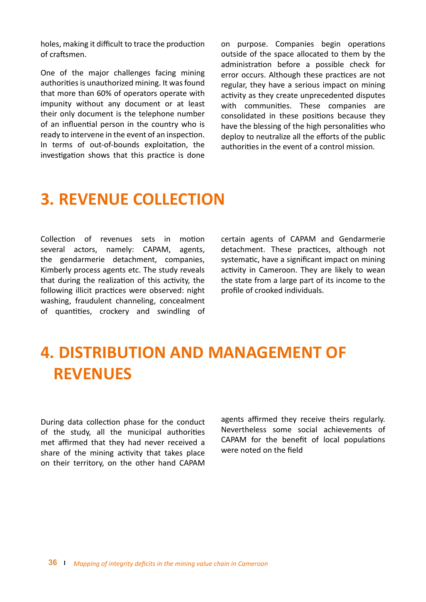holes, making it difficult to trace the production of craftsmen.

One of the major challenges facing mining authorities is unauthorized mining. It was found that more than 60% of operators operate with impunity without any document or at least their only document is the telephone number of an influential person in the country who is ready to intervene in the event of an inspection. In terms of out-of-bounds exploitation, the investigation shows that this practice is done on purpose. Companies begin operations outside of the space allocated to them by the administration before a possible check for error occurs. Although these practices are not regular, they have a serious impact on mining activity as they create unprecedented disputes with communities. These companies are consolidated in these positions because they have the blessing of the high personalities who deploy to neutralize all the efforts of the public authorities in the event of a control mission.

### **3. REVENUE COLLECTION**

Collection of revenues sets in motion several actors, namely: CAPAM, agents, the gendarmerie detachment, companies, Kimberly process agents etc. The study reveals that during the realization of this activity, the following illicit practices were observed: night washing, fraudulent channeling, concealment of quantities, crockery and swindling of certain agents of CAPAM and Gendarmerie detachment. These practices, although not systematic, have a significant impact on mining activity in Cameroon. They are likely to wean the state from a large part of its income to the profile of crooked individuals.

## **4. DISTRIBUTION AND MANAGEMENT OF REVENUES**

During data collection phase for the conduct of the study, all the municipal authorities met affirmed that they had never received a share of the mining activity that takes place on their territory, on the other hand CAPAM

agents affirmed they receive theirs regularly. Nevertheless some social achievements of CAPAM for the benefit of local populations were noted on the field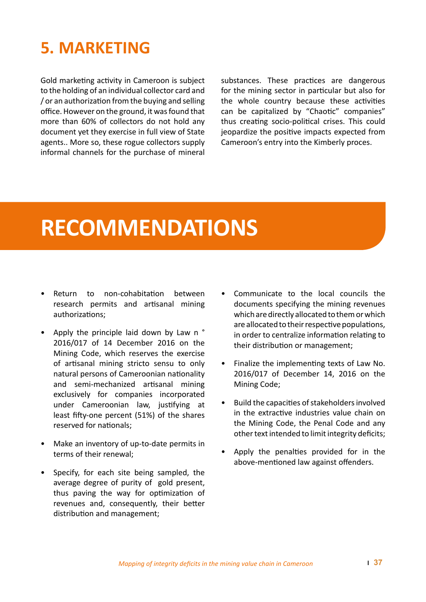## **5. MARKETING**

Gold marketing activity in Cameroon is subject to the holding of an individual collector card and / or an authorization from the buying and selling office. However on the ground, it was found that more than 60% of collectors do not hold any document yet they exercise in full view of State agents.. More so, these rogue collectors supply informal channels for the purchase of mineral substances. These practices are dangerous for the mining sector in particular but also for the whole country because these activities can be capitalized by "Chaotic" companies" thus creating socio-political crises. This could jeopardize the positive impacts expected from Cameroon's entry into the Kimberly proces.

## **RECOMMENDATIONS**

- Return to non-cohabitation between research permits and artisanal mining authorizations;
- Apply the principle laid down by Law n ° 2016/017 of 14 December 2016 on the Mining Code, which reserves the exercise of artisanal mining stricto sensu to only natural persons of Cameroonian nationality and semi-mechanized artisanal mining exclusively for companies incorporated under Cameroonian law, justifying at least fifty-one percent (51%) of the shares reserved for nationals;
- Make an inventory of up-to-date permits in terms of their renewal;
- Specify, for each site being sampled, the average degree of purity of gold present, thus paving the way for optimization of revenues and, consequently, their better distribution and management;
- Communicate to the local councils the documents specifying the mining revenues which are directly allocated to them or which are allocated to their respective populations, in order to centralize information relating to their distribution or management;
- Finalize the implementing texts of Law No. 2016/017 of December 14, 2016 on the Mining Code;
- Build the capacities of stakeholders involved in the extractive industries value chain on the Mining Code, the Penal Code and any other text intended to limit integrity deficits;
- Apply the penalties provided for in the above-mentioned law against offenders.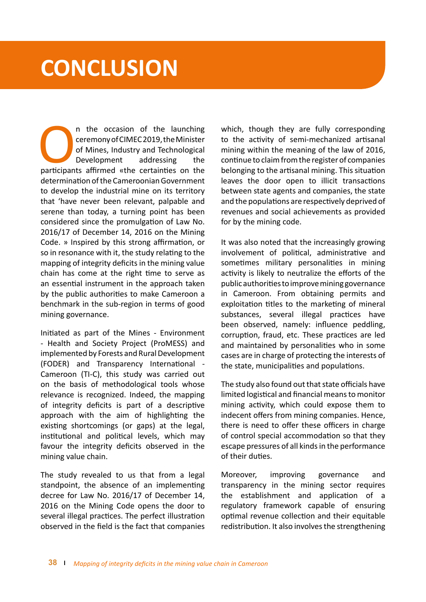# **CONCLUSION**

n the occasion of the launching<br>
ceremony of CIMEC 2019, the Minister<br>
of Mines, Industry and Technological<br>
Development addressing the<br>
participants affirmed «the certainties on the ceremony of CIMEC 2019, the Minister of Mines, Industry and Technological Development addressing the determination of the Cameroonian Government to develop the industrial mine on its territory that 'have never been relevant, palpable and serene than today, a turning point has been considered since the promulgation of Law No. 2016/17 of December 14, 2016 on the Mining Code. » Inspired by this strong affirmation, or so in resonance with it, the study relating to the mapping of integrity deficits in the mining value chain has come at the right time to serve as an essential instrument in the approach taken by the public authorities to make Cameroon a benchmark in the sub-region in terms of good mining governance.

Initiated as part of the Mines - Environment - Health and Society Project (ProMESS) and implemented by Forests and Rural Development (FODER) and Transparency International - Cameroon (TI-C), this study was carried out on the basis of methodological tools whose relevance is recognized. Indeed, the mapping of integrity deficits is part of a descriptive approach with the aim of highlighting the existing shortcomings (or gaps) at the legal, institutional and political levels, which may favour the integrity deficits observed in the mining value chain.

The study revealed to us that from a legal standpoint, the absence of an implementing decree for Law No. 2016/17 of December 14, 2016 on the Mining Code opens the door to several illegal practices. The perfect illustration observed in the field is the fact that companies

which, though they are fully corresponding to the activity of semi-mechanized artisanal mining within the meaning of the law of 2016, continue to claim from the register of companies belonging to the artisanal mining. This situation leaves the door open to illicit transactions between state agents and companies, the state and the populations are respectively deprived of revenues and social achievements as provided for by the mining code.

It was also noted that the increasingly growing involvement of political, administrative and sometimes military personalities in mining activity is likely to neutralize the efforts of the public authorities to improve mining governance in Cameroon. From obtaining permits and exploitation titles to the marketing of mineral substances, several illegal practices have been observed, namely: influence peddling, corruption, fraud, etc. These practices are led and maintained by personalities who in some cases are in charge of protecting the interests of the state, municipalities and populations.

The study also found out that state officials have limited logistical and financial means to monitor mining activity, which could expose them to indecent offers from mining companies. Hence, there is need to offer these officers in charge of control special accommodation so that they escape pressures of all kinds in the performance of their duties.

Moreover, improving governance and transparency in the mining sector requires the establishment and application of a regulatory framework capable of ensuring optimal revenue collection and their equitable redistribution. It also involves the strengthening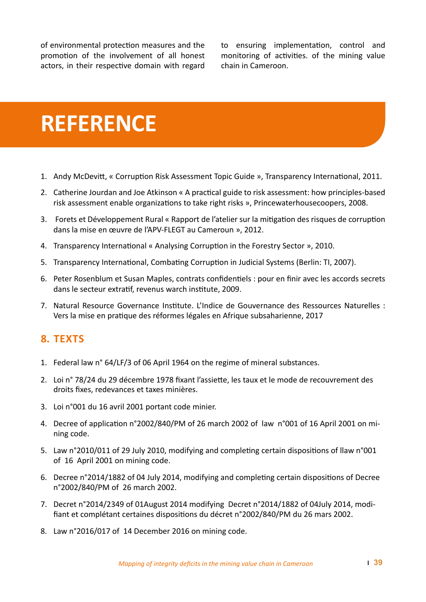of environmental protection measures and the promotion of the involvement of all honest actors, in their respective domain with regard

to ensuring implementation, control and monitoring of activities. of the mining value chain in Cameroon.

# **REFERENCE**

- 1. Andy McDevitt, « Corruption Risk Assessment Topic Guide », Transparency International, 2011.
- 2. Catherine Jourdan and Joe Atkinson « A practical guide to risk assessment: how principles-based risk assessment enable organizations to take right risks », Princewaterhousecoopers, 2008.
- 3. Forets et Développement Rural « Rapport de l'atelier sur la mitigation des risques de corruption dans la mise en œuvre de l'APV-FLEGT au Cameroun », 2012.
- 4. Transparency International « Analysing Corruption in the Forestry Sector », 2010.
- 5. Transparency International, Combating Corruption in Judicial Systems (Berlin: TI, 2007).
- 6. Peter Rosenblum et Susan Maples, contrats confidentiels : pour en finir avec les accords secrets dans le secteur extratif, revenus warch institute, 2009.
- 7. Natural Resource Governance Institute. L'Indice de Gouvernance des Ressources Naturelles : Vers la mise en pratique des réformes légales en Afrique subsaharienne, 2017

#### **8. TEXTS**

- 1. Federal law n° 64/LF/3 of 06 April 1964 on the regime of mineral substances.
- 2. Loi n° 78/24 du 29 décembre 1978 fixant l'assiette, les taux et le mode de recouvrement des droits fixes, redevances et taxes minières.
- 3. Loi n°001 du 16 avril 2001 portant code minier.
- 4. Decree of application n°2002/840/PM of 26 march 2002 of law n°001 of 16 April 2001 on mining code.
- 5. Law n°2010/011 of 29 July 2010, modifying and completing certain dispositions of llaw n°001 of 16 April 2001 on mining code.
- 6. Decree n°2014/1882 of 04 July 2014, modifying and completing certain dispositions of Decree n°2002/840/PM of 26 march 2002.
- 7. Decret n°2014/2349 of 01August 2014 modifying Decret n°2014/1882 of 04July 2014, modifiant et complétant certaines dispositions du décret n°2002/840/PM du 26 mars 2002.
- 8. Law n°2016/017 of 14 December 2016 on mining code.